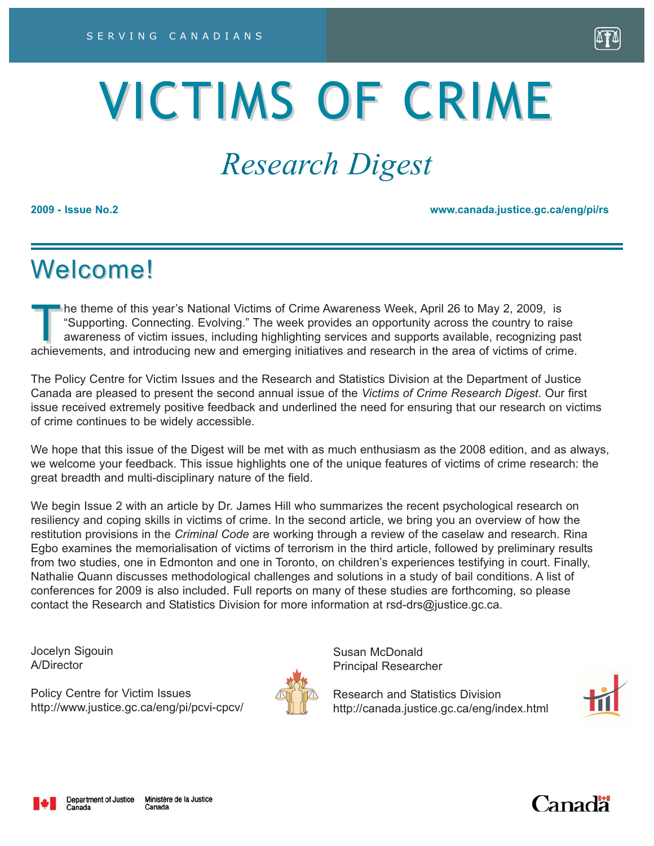# VICTIMS OF CRIME

# *Research Digest*

**2009 - Issue No.2 www.canada.justice.gc.ca/eng/pi/rs** 

# Welcome!

The theme of this year's National Victims of Crime Awareness Week, April 26 to May 2, 2009, is<br>
"Supporting. Connecting. Evolving." The week provides an opportunity across the country to raise<br>
avareness of victim issues, "Supporting. Connecting. Evolving." The week provides an opportunity across the country to raise awareness of victim issues, including highlighting services and supports available, recognizing past achievements, and introducing new and emerging initiatives and research in the area of victims of crime.

The Policy Centre for Victim Issues and the Research and Statistics Division at the Department of Justice Canada are pleased to present the second annual issue of the *Victims of Crime Research Digest*. Our first issue received extremely positive feedback and underlined the need for ensuring that our research on victims of crime continues to be widely accessible.

We hope that this issue of the Digest will be met with as much enthusiasm as the 2008 edition, and as always, we welcome your feedback. This issue highlights one of the unique features of victims of crime research: the great breadth and multi-disciplinary nature of the field.

We begin Issue 2 with an article by Dr. James Hill who summarizes the recent psychological research on resiliency and coping skills in victims of crime. In the second article, we bring you an overview of how the restitution provisions in the *Criminal Code* are working through a review of the caselaw and research. Rina Egbo examines the memorialisation of victims of terrorism in the third article, followed by preliminary results from two studies, one in Edmonton and one in Toronto, on children's experiences testifying in court. Finally, Nathalie Quann discusses methodological challenges and solutions in a study of bail conditions. A list of conferences for 2009 is also included. Full reports on many of these studies are forthcoming, so please contact the Research and Statistics Division for more information at rsd-drs@justice.gc.ca.

Jocelyn Sigouin A/Director

Policy Centre for Victim Issues http://www.justice.gc.ca/eng/pi/pcvi-cpcv/



Susan McDonald Principal Researcher

Research and Statistics Division http://canada.justice.gc.ca/eng/index.html





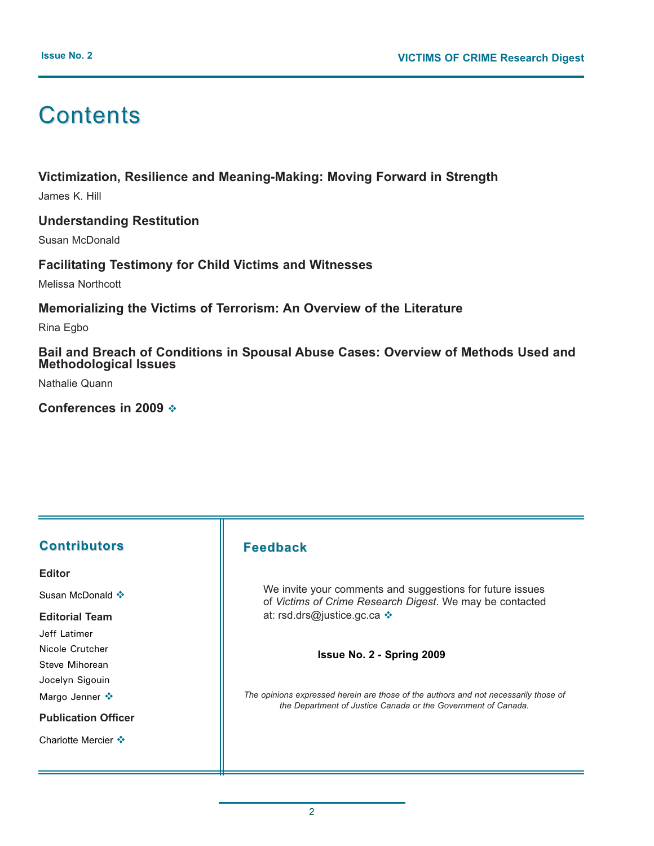## **Contents**

#### **Victimization, Resilience and Meaning-Making: Moving Forward in Strength**

James K. Hill

#### **Understanding Restitution**

Susan McDonald

#### **Facilitating Testimony for Child Victims and Witnesses**

Melissa Northcott

#### **Memorializing the Victims of Terrorism: An Overview of the Literature**

Rina Egbo

**Bail and Breach of Conditions in Spousal Abuse Cases: Overview of Methods Used and Methodological Issues** 

Nathalie Quann

**Conferences in 2009** -

#### **Contributors**

**Editor**

Susan McDonald <sup>•</sup>

**Editorial Team** 

Jeff Latimer

Nicole Crutcher

Steve Mihorean

Jocelyn Sigouin Margo Jenner ❖

**Publication Officer**

Charlotte Mercier  $\clubsuit$ 

#### **Feedback Feedback**

We invite your comments and suggestions for future issues of *Victims of Crime Research Digest*. We may be contacted at: rsd.drs@justice.gc.ca ❖

**Issue No. 2 - Spring 2009**

*The opinions expressed herein are those of the authors and not necessarily those of the Department of Justice Canada or the Government of Canada.*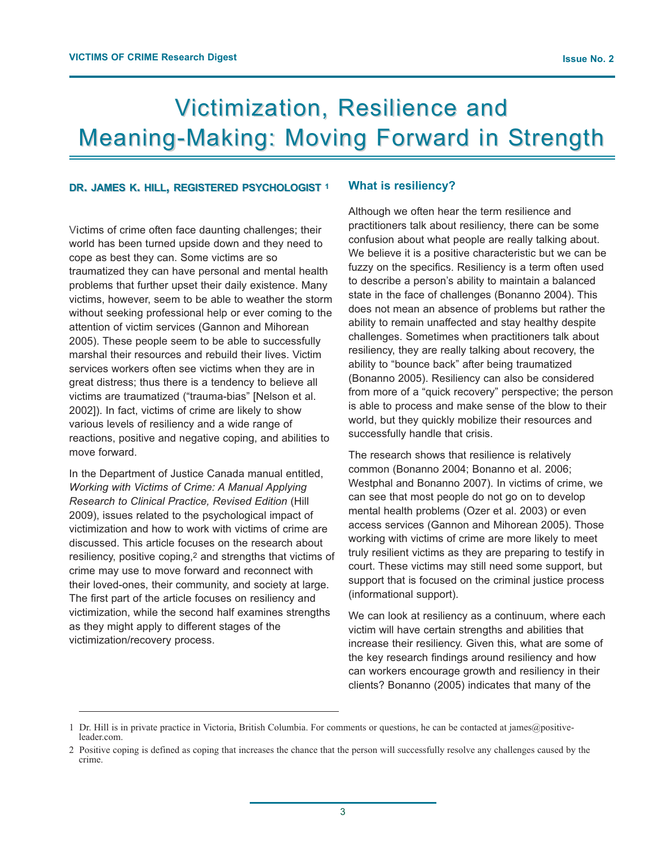# Victimization, Resilience and Meaning-Making: Moving Forward in Strength

#### **DR. JAMES K. HILL, REGISTERED REGISTERED PSYCHOLOGIST PSYCHOLOGIST <sup>1</sup>**

Victims of crime often face daunting challenges; their world has been turned upside down and they need to cope as best they can. Some victims are so traumatized they can have personal and mental health problems that further upset their daily existence. Many victims, however, seem to be able to weather the storm without seeking professional help or ever coming to the attention of victim services (Gannon and Mihorean 2005). These people seem to be able to successfully marshal their resources and rebuild their lives. Victim services workers often see victims when they are in great distress; thus there is a tendency to believe all victims are traumatized ("trauma-bias" [Nelson et al. 2002]). In fact, victims of crime are likely to show various levels of resiliency and a wide range of reactions, positive and negative coping, and abilities to move forward.

In the Department of Justice Canada manual entitled, *Working with Victims of Crime: A Manual Applying Research to Clinical Practice, Revised Edition* (Hill 2009), issues related to the psychological impact of victimization and how to work with victims of crime are discussed. This article focuses on the research about resiliency, positive coping,<sup>2</sup> and strengths that victims of crime may use to move forward and reconnect with their loved-ones, their community, and society at large. The first part of the article focuses on resiliency and victimization, while the second half examines strengths as they might apply to different stages of the victimization/recovery process.

#### **What is resiliency?**

Although we often hear the term resilience and practitioners talk about resiliency, there can be some confusion about what people are really talking about. We believe it is a positive characteristic but we can be fuzzy on the specifics. Resiliency is a term often used to describe a person's ability to maintain a balanced state in the face of challenges (Bonanno 2004). This does not mean an absence of problems but rather the ability to remain unaffected and stay healthy despite challenges. Sometimes when practitioners talk about resiliency, they are really talking about recovery, the ability to "bounce back" after being traumatized (Bonanno 2005). Resiliency can also be considered from more of a "quick recovery" perspective; the person is able to process and make sense of the blow to their world, but they quickly mobilize their resources and successfully handle that crisis.

The research shows that resilience is relatively common (Bonanno 2004; Bonanno et al. 2006; Westphal and Bonanno 2007). In victims of crime, we can see that most people do not go on to develop mental health problems (Ozer et al. 2003) or even access services (Gannon and Mihorean 2005). Those working with victims of crime are more likely to meet truly resilient victims as they are preparing to testify in court. These victims may still need some support, but support that is focused on the criminal justice process (informational support).

We can look at resiliency as a continuum, where each victim will have certain strengths and abilities that increase their resiliency. Given this, what are some of the key research findings around resiliency and how can workers encourage growth and resiliency in their clients? Bonanno (2005) indicates that many of the

<sup>1</sup> Dr. Hill is in private practice in Victoria, British Columbia. For comments or questions, he can be contacted at james@positiveleader.com.

<sup>2</sup> Positive coping is defined as coping that increases the chance that the person will successfully resolve any challenges caused by the crime.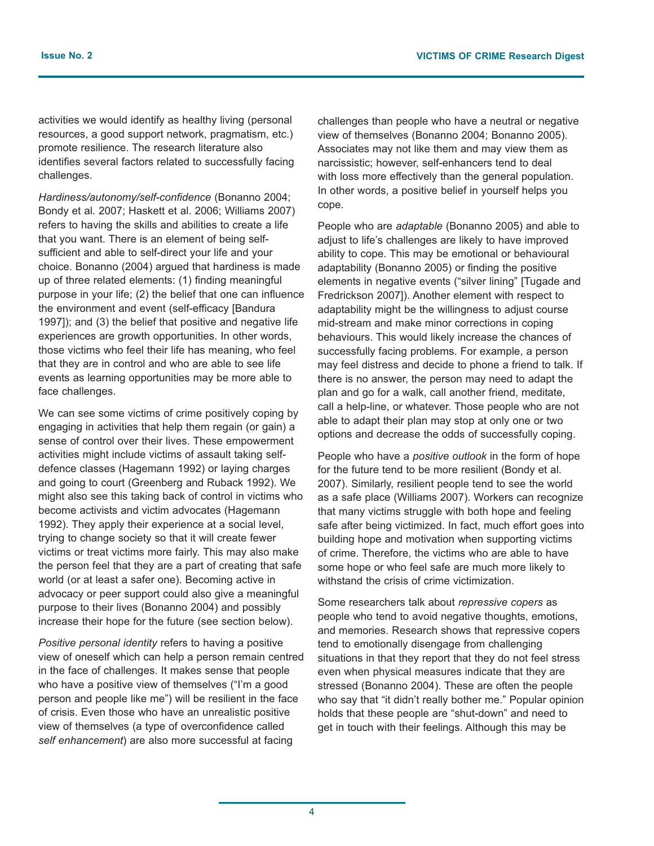activities we would identify as healthy living (personal resources, a good support network, pragmatism, etc.) promote resilience. The research literature also identifies several factors related to successfully facing challenges.

*Hardiness/autonomy/self-confidence* (Bonanno 2004; Bondy et al. 2007; Haskett et al. 2006; Williams 2007) refers to having the skills and abilities to create a life that you want. There is an element of being selfsufficient and able to self-direct your life and your choice. Bonanno (2004) argued that hardiness is made up of three related elements: (1) finding meaningful purpose in your life; (2) the belief that one can influence the environment and event (self-efficacy [Bandura 1997]); and (3) the belief that positive and negative life experiences are growth opportunities. In other words, those victims who feel their life has meaning, who feel that they are in control and who are able to see life events as learning opportunities may be more able to face challenges.

We can see some victims of crime positively coping by engaging in activities that help them regain (or gain) a sense of control over their lives. These empowerment activities might include victims of assault taking selfdefence classes (Hagemann 1992) or laying charges and going to court (Greenberg and Ruback 1992). We might also see this taking back of control in victims who become activists and victim advocates (Hagemann 1992). They apply their experience at a social level, trying to change society so that it will create fewer victims or treat victims more fairly. This may also make the person feel that they are a part of creating that safe world (or at least a safer one). Becoming active in advocacy or peer support could also give a meaningful purpose to their lives (Bonanno 2004) and possibly increase their hope for the future (see section below).

*Positive personal identity* refers to having a positive view of oneself which can help a person remain centred in the face of challenges. It makes sense that people who have a positive view of themselves ("I'm a good person and people like me") will be resilient in the face of crisis. Even those who have an unrealistic positive view of themselves (a type of overconfidence called *self enhancement*) are also more successful at facing

challenges than people who have a neutral or negative view of themselves (Bonanno 2004; Bonanno 2005). Associates may not like them and may view them as narcissistic; however, self-enhancers tend to deal with loss more effectively than the general population. In other words, a positive belief in yourself helps you cope.

People who are *adaptable* (Bonanno 2005) and able to adjust to life's challenges are likely to have improved ability to cope. This may be emotional or behavioural adaptability (Bonanno 2005) or finding the positive elements in negative events ("silver lining" [Tugade and Fredrickson 2007]). Another element with respect to adaptability might be the willingness to adjust course mid-stream and make minor corrections in coping behaviours. This would likely increase the chances of successfully facing problems. For example, a person may feel distress and decide to phone a friend to talk. If there is no answer, the person may need to adapt the plan and go for a walk, call another friend, meditate, call a help-line, or whatever. Those people who are not able to adapt their plan may stop at only one or two options and decrease the odds of successfully coping.

People who have a *positive outlook* in the form of hope for the future tend to be more resilient (Bondy et al. 2007). Similarly, resilient people tend to see the world as a safe place (Williams 2007). Workers can recognize that many victims struggle with both hope and feeling safe after being victimized. In fact, much effort goes into building hope and motivation when supporting victims of crime. Therefore, the victims who are able to have some hope or who feel safe are much more likely to withstand the crisis of crime victimization.

Some researchers talk about *repressive copers* as people who tend to avoid negative thoughts, emotions, and memories. Research shows that repressive copers tend to emotionally disengage from challenging situations in that they report that they do not feel stress even when physical measures indicate that they are stressed (Bonanno 2004). These are often the people who say that "it didn't really bother me." Popular opinion holds that these people are "shut-down" and need to get in touch with their feelings. Although this may be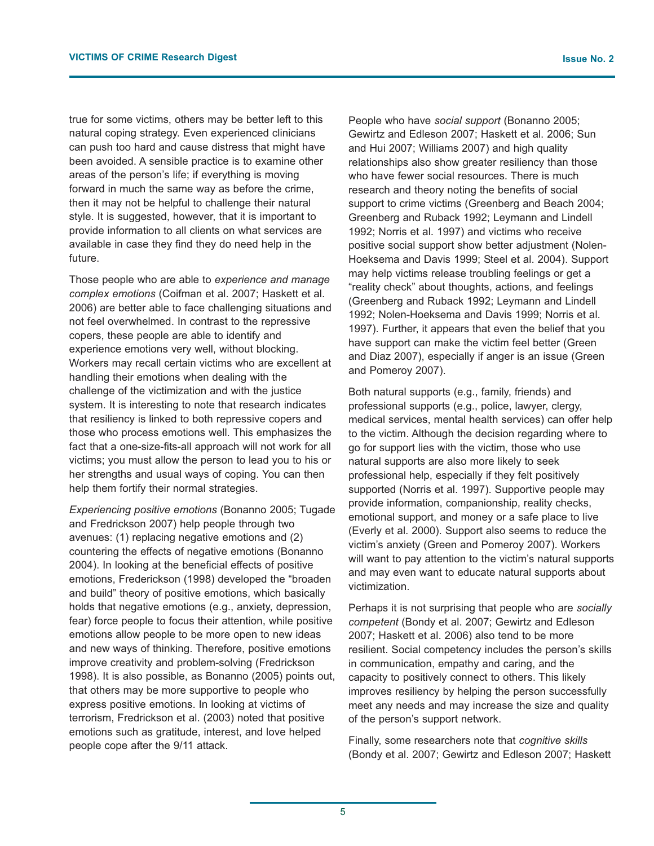true for some victims, others may be better left to this natural coping strategy. Even experienced clinicians can push too hard and cause distress that might have been avoided. A sensible practice is to examine other areas of the person's life; if everything is moving forward in much the same way as before the crime, then it may not be helpful to challenge their natural style. It is suggested, however, that it is important to provide information to all clients on what services are available in case they find they do need help in the future.

Those people who are able to *experience and manage complex emotions* (Coifman et al. 2007; Haskett et al. 2006) are better able to face challenging situations and not feel overwhelmed. In contrast to the repressive copers, these people are able to identify and experience emotions very well, without blocking. Workers may recall certain victims who are excellent at handling their emotions when dealing with the challenge of the victimization and with the justice system. It is interesting to note that research indicates that resiliency is linked to both repressive copers and those who process emotions well. This emphasizes the fact that a one-size-fits-all approach will not work for all victims; you must allow the person to lead you to his or her strengths and usual ways of coping. You can then help them fortify their normal strategies.

*Experiencing positive emotions* (Bonanno 2005; Tugade and Fredrickson 2007) help people through two avenues: (1) replacing negative emotions and (2) countering the effects of negative emotions (Bonanno 2004). In looking at the beneficial effects of positive emotions, Frederickson (1998) developed the "broaden and build" theory of positive emotions, which basically holds that negative emotions (e.g., anxiety, depression, fear) force people to focus their attention, while positive emotions allow people to be more open to new ideas and new ways of thinking. Therefore, positive emotions improve creativity and problem-solving (Fredrickson 1998). It is also possible, as Bonanno (2005) points out, that others may be more supportive to people who express positive emotions. In looking at victims of terrorism, Fredrickson et al. (2003) noted that positive emotions such as gratitude, interest, and love helped people cope after the 9/11 attack.

People who have *social support* (Bonanno 2005; Gewirtz and Edleson 2007; Haskett et al. 2006; Sun and Hui 2007; Williams 2007) and high quality relationships also show greater resiliency than those who have fewer social resources. There is much research and theory noting the benefits of social support to crime victims (Greenberg and Beach 2004; Greenberg and Ruback 1992; Leymann and Lindell 1992; Norris et al. 1997) and victims who receive positive social support show better adjustment (Nolen-Hoeksema and Davis 1999; Steel et al. 2004). Support may help victims release troubling feelings or get a "reality check" about thoughts, actions, and feelings (Greenberg and Ruback 1992; Leymann and Lindell 1992; Nolen-Hoeksema and Davis 1999; Norris et al. 1997). Further, it appears that even the belief that you have support can make the victim feel better (Green and Diaz 2007), especially if anger is an issue (Green and Pomeroy 2007).

Both natural supports (e.g., family, friends) and professional supports (e.g., police, lawyer, clergy, medical services, mental health services) can offer help to the victim. Although the decision regarding where to go for support lies with the victim, those who use natural supports are also more likely to seek professional help, especially if they felt positively supported (Norris et al. 1997). Supportive people may provide information, companionship, reality checks, emotional support, and money or a safe place to live (Everly et al. 2000). Support also seems to reduce the victim's anxiety (Green and Pomeroy 2007). Workers will want to pay attention to the victim's natural supports and may even want to educate natural supports about victimization.

Perhaps it is not surprising that people who are *socially competent* (Bondy et al. 2007; Gewirtz and Edleson 2007; Haskett et al. 2006) also tend to be more resilient. Social competency includes the person's skills in communication, empathy and caring, and the capacity to positively connect to others. This likely improves resiliency by helping the person successfully meet any needs and may increase the size and quality of the person's support network.

Finally, some researchers note that *cognitive skills* (Bondy et al. 2007; Gewirtz and Edleson 2007; Haskett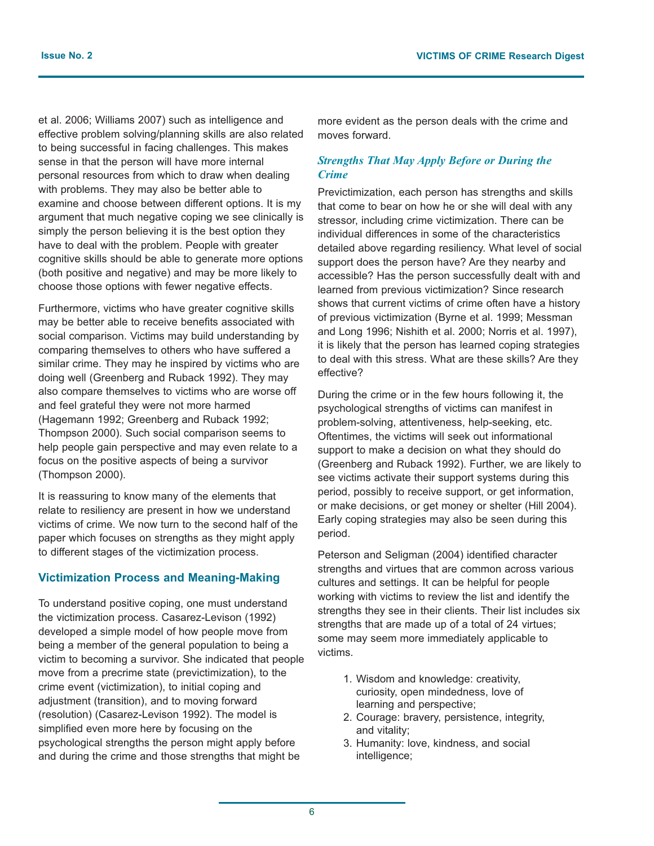et al. 2006; Williams 2007) such as intelligence and effective problem solving/planning skills are also related to being successful in facing challenges. This makes sense in that the person will have more internal personal resources from which to draw when dealing with problems. They may also be better able to examine and choose between different options. It is my argument that much negative coping we see clinically is simply the person believing it is the best option they have to deal with the problem. People with greater cognitive skills should be able to generate more options (both positive and negative) and may be more likely to choose those options with fewer negative effects.

Furthermore, victims who have greater cognitive skills may be better able to receive benefits associated with social comparison. Victims may build understanding by comparing themselves to others who have suffered a similar crime. They may he inspired by victims who are doing well (Greenberg and Ruback 1992). They may also compare themselves to victims who are worse off and feel grateful they were not more harmed (Hagemann 1992; Greenberg and Ruback 1992; Thompson 2000). Such social comparison seems to help people gain perspective and may even relate to a focus on the positive aspects of being a survivor (Thompson 2000).

It is reassuring to know many of the elements that relate to resiliency are present in how we understand victims of crime. We now turn to the second half of the paper which focuses on strengths as they might apply to different stages of the victimization process.

#### **Victimization Process and Meaning-Making**

To understand positive coping, one must understand the victimization process. Casarez-Levison (1992) developed a simple model of how people move from being a member of the general population to being a victim to becoming a survivor. She indicated that people move from a precrime state (previctimization), to the crime event (victimization), to initial coping and adjustment (transition), and to moving forward (resolution) (Casarez-Levison 1992). The model is simplified even more here by focusing on the psychological strengths the person might apply before and during the crime and those strengths that might be

more evident as the person deals with the crime and moves forward.

#### *Strengths That May Apply Before or During the Crime*

Previctimization, each person has strengths and skills that come to bear on how he or she will deal with any stressor, including crime victimization. There can be individual differences in some of the characteristics detailed above regarding resiliency. What level of social support does the person have? Are they nearby and accessible? Has the person successfully dealt with and learned from previous victimization? Since research shows that current victims of crime often have a history of previous victimization (Byrne et al. 1999; Messman and Long 1996; Nishith et al. 2000; Norris et al. 1997), it is likely that the person has learned coping strategies to deal with this stress. What are these skills? Are they effective?

During the crime or in the few hours following it, the psychological strengths of victims can manifest in problem-solving, attentiveness, help-seeking, etc. Oftentimes, the victims will seek out informational support to make a decision on what they should do (Greenberg and Ruback 1992). Further, we are likely to see victims activate their support systems during this period, possibly to receive support, or get information, or make decisions, or get money or shelter (Hill 2004). Early coping strategies may also be seen during this period.

Peterson and Seligman (2004) identified character strengths and virtues that are common across various cultures and settings. It can be helpful for people working with victims to review the list and identify the strengths they see in their clients. Their list includes six strengths that are made up of a total of 24 virtues; some may seem more immediately applicable to victims.

- 1. Wisdom and knowledge: creativity, curiosity, open mindedness, love of learning and perspective;
- 2. Courage: bravery, persistence, integrity, and vitality;
- 3. Humanity: love, kindness, and social intelligence;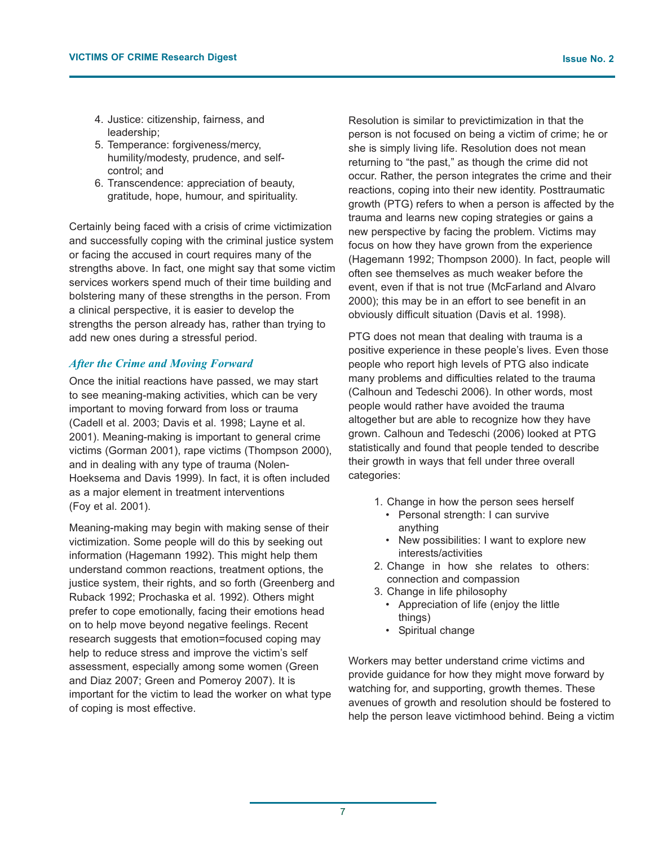- 4. Justice: citizenship, fairness, and leadership;
- 5. Temperance: forgiveness/mercy, humility/modesty, prudence, and selfcontrol; and
- 6. Transcendence: appreciation of beauty, gratitude, hope, humour, and spirituality.

Certainly being faced with a crisis of crime victimization and successfully coping with the criminal justice system or facing the accused in court requires many of the strengths above. In fact, one might say that some victim services workers spend much of their time building and bolstering many of these strengths in the person. From a clinical perspective, it is easier to develop the strengths the person already has, rather than trying to add new ones during a stressful period.

#### *After the Crime and Moving Forward*

Once the initial reactions have passed, we may start to see meaning-making activities, which can be very important to moving forward from loss or trauma (Cadell et al. 2003; Davis et al. 1998; Layne et al. 2001). Meaning-making is important to general crime victims (Gorman 2001), rape victims (Thompson 2000), and in dealing with any type of trauma (Nolen-Hoeksema and Davis 1999). In fact, it is often included as a major element in treatment interventions (Foy et al. 2001).

Meaning-making may begin with making sense of their victimization. Some people will do this by seeking out information (Hagemann 1992). This might help them understand common reactions, treatment options, the justice system, their rights, and so forth (Greenberg and Ruback 1992; Prochaska et al. 1992). Others might prefer to cope emotionally, facing their emotions head on to help move beyond negative feelings. Recent research suggests that emotion=focused coping may help to reduce stress and improve the victim's self assessment, especially among some women (Green and Diaz 2007; Green and Pomeroy 2007). It is important for the victim to lead the worker on what type of coping is most effective.

Resolution is similar to previctimization in that the person is not focused on being a victim of crime; he or she is simply living life. Resolution does not mean returning to "the past," as though the crime did not occur. Rather, the person integrates the crime and their reactions, coping into their new identity. Posttraumatic growth (PTG) refers to when a person is affected by the trauma and learns new coping strategies or gains a new perspective by facing the problem. Victims may focus on how they have grown from the experience (Hagemann 1992; Thompson 2000). In fact, people will often see themselves as much weaker before the event, even if that is not true (McFarland and Alvaro 2000); this may be in an effort to see benefit in an obviously difficult situation (Davis et al. 1998).

PTG does not mean that dealing with trauma is a positive experience in these people's lives. Even those people who report high levels of PTG also indicate many problems and difficulties related to the trauma (Calhoun and Tedeschi 2006). In other words, most people would rather have avoided the trauma altogether but are able to recognize how they have grown. Calhoun and Tedeschi (2006) looked at PTG statistically and found that people tended to describe their growth in ways that fell under three overall categories:

- 1. Change in how the person sees herself
	- Personal strength: I can survive anything
	- New possibilities: I want to explore new interests/activities
- 2. Change in how she relates to others: connection and compassion
- 3. Change in life philosophy
	- Appreciation of life (enjoy the little things)
	- Spiritual change

Workers may better understand crime victims and provide guidance for how they might move forward by watching for, and supporting, growth themes. These avenues of growth and resolution should be fostered to help the person leave victimhood behind. Being a victim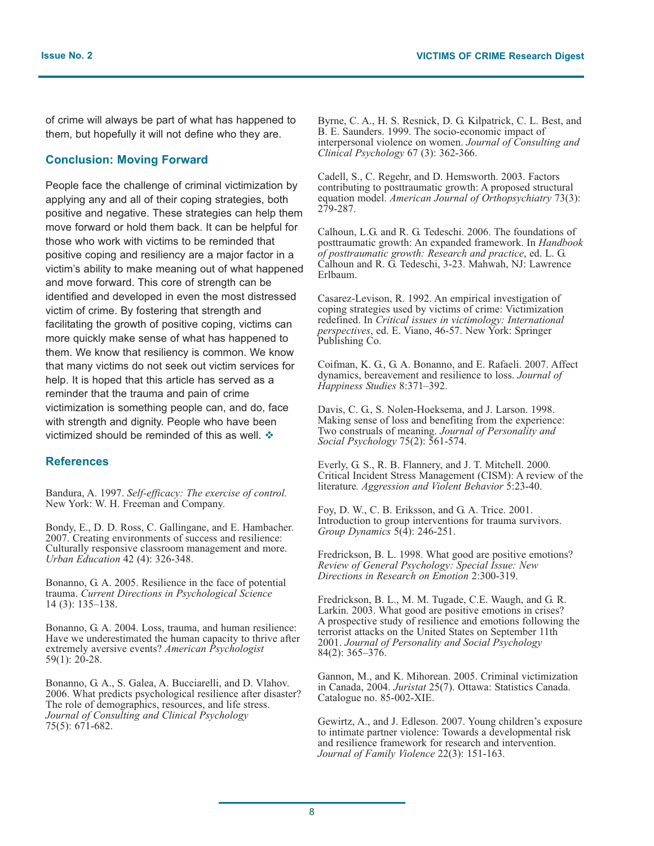of crime will always be part of what has happened to them, but hopefully it will not define who they are.

#### **Conclusion: Moving Forward**

People face the challenge of criminal victimization by applying any and all of their coping strategies, both positive and negative. These strategies can help them move forward or hold them back. It can be helpful for those who work with victims to be reminded that positive coping and resiliency are a major factor in a victim's ability to make meaning out of what happened and move forward. This core of strength can be identified and developed in even the most distressed victim of crime. By fostering that strength and facilitating the growth of positive coping, victims can more quickly make sense of what has happened to them. We know that resiliency is common. We know that many victims do not seek out victim services for help. It is hoped that this article has served as a reminder that the trauma and pain of crime victimization is something people can, and do, face with strength and dignity. People who have been victimized should be reminded of this as well.  $\div$ 

#### **References**

Bandura, A. 1997. *Self-efficacy: The exercise of control.* New York: W. H. Freeman and Company.

Bondy, E., D. D. Ross, C. Gallingane, and E. Hambacher. 2007. Creating environments of success and resilience: Culturally responsive classroom management and more. *Urban Education* 42 (4): 326-348.

Bonanno, G. A. 2005. Resilience in the face of potential trauma. *Current Directions in Psychological Science* 14 (3): 135–138.

Bonanno, G. A. 2004. Loss, trauma, and human resilience: Have we underestimated the human capacity to thrive after extremely aversive events? *American Psychologist* 59(1): 20-28.

Bonanno, G. A., S. Galea, A. Bucciarelli, and D. Vlahov. 2006. What predicts psychological resilience after disaster? The role of demographics, resources, and life stress. *Journal of Consulting and Clinical Psychology* 75(5): 671-682.

Byrne, C. A., H. S. Resnick, D. G. Kilpatrick, C. L. Best, and B. E. Saunders. 1999. The socio-economic impact of interpersonal violence on women. *Journal of Consulting and Clinical Psychology* 67 (3): 362-366.

Cadell, S., C. Regehr, and D. Hemsworth. 2003. Factors contributing to posttraumatic growth: A proposed structural equation model. *American Journal of Orthopsychiatry* 73(3): 279-287.

Calhoun, L.G. and R. G. Tedeschi. 2006. The foundations of posttraumatic growth: An expanded framework. In *Handbook of posttraumatic growth: Research and practice*, ed. L. G. Calhoun and R. G. Tedeschi, 3-23. Mahwah, NJ: Lawrence Erlbaum.

Casarez-Levison, R. 1992. An empirical investigation of coping strategies used by victims of crime: Victimization redefined. In *Critical issues in victimology: International perspectives*, ed. E. Viano, 46-57. New York: Springer Publishing Co.

Coifman, K. G., G. A. Bonanno, and E. Rafaeli. 2007. Affect dynamics, bereavement and resilience to loss. *Journal of Happiness Studies* 8:371–392.

Davis, C. G., S. Nolen-Hoeksema, and J. Larson. 1998. Making sense of loss and benefiting from the experience: Two construals of meaning. *Journal of Personality and Social Psychology* 75(2): 561-574.

Everly, G. S., R. B. Flannery, and J. T. Mitchell. 2000. Critical Incident Stress Management (CISM): A review of the literature*. Aggression and Violent Behavior* 5:23-40.

Foy, D. W., C. B. Eriksson, and G. A. Trice. 2001. Introduction to group interventions for trauma survivors. *Group Dynamics* 5(4): 246-251.

Fredrickson, B. L. 1998. What good are positive emotions? *Review of General Psychology: Special Issue: New Directions in Research on Emotion* 2:300-319.

Fredrickson, B. L., M. M. Tugade, C.E. Waugh, and G. R. Larkin. 2003. What good are positive emotions in crises? A prospective study of resilience and emotions following the terrorist attacks on the United States on September 11th 2001. *Journal of Personality and Social Psychology* 84(2): 365–376.

Gannon, M., and K. Mihorean. 2005. Criminal victimization in Canada, 2004. *Juristat* 25(7). Ottawa: Statistics Canada. Catalogue no. 85-002-XIE.

Gewirtz, A., and J. Edleson. 2007. Young children's exposure to intimate partner violence: Towards a developmental risk and resilience framework for research and intervention. *Journal of Family Violence* 22(3): 151-163.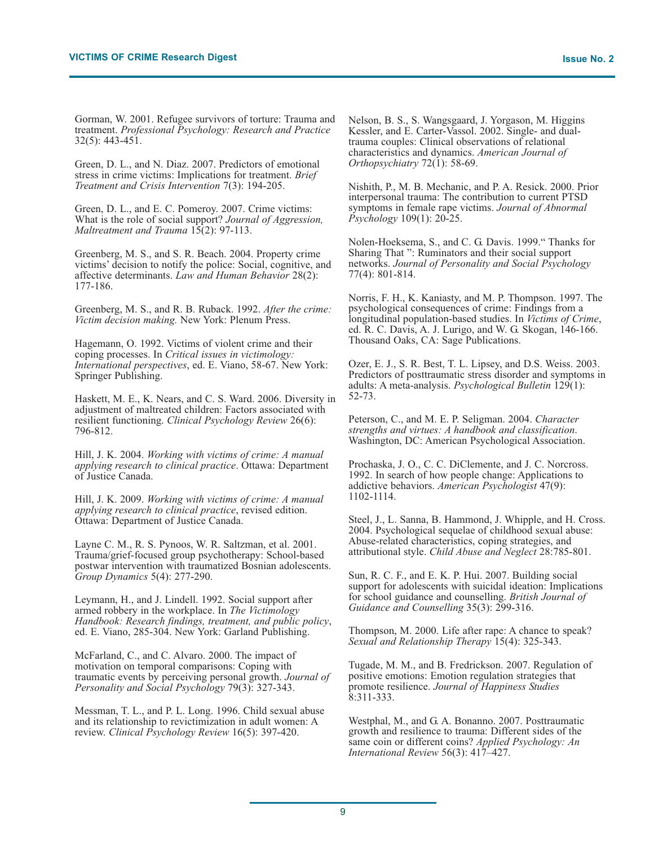Gorman, W. 2001. Refugee survivors of torture: Trauma and treatment. *Professional Psychology: Research and Practice* 32(5): 443-451.

Green, D. L., and N. Diaz. 2007. Predictors of emotional stress in crime victims: Implications for treatment. *Brief Treatment and Crisis Intervention* 7(3): 194-205.

Green, D. L., and E. C. Pomeroy. 2007. Crime victims: What is the role of social support? *Journal of Aggression, Maltreatment and Trauma* 15(2): 97-113.

Greenberg, M. S., and S. R. Beach. 2004. Property crime victims' decision to notify the police: Social, cognitive, and affective determinants. *Law and Human Behavior* 28(2): 177-186.

Greenberg, M. S., and R. B. Ruback. 1992. *After the crime: Victim decision making.* New York: Plenum Press.

Hagemann, O. 1992. Victims of violent crime and their coping processes. In *Critical issues in victimology: International perspectives*, ed. E. Viano, 58-67. New York: Springer Publishing.

Haskett, M. E., K. Nears, and C. S. Ward. 2006. Diversity in adjustment of maltreated children: Factors associated with resilient functioning. *Clinical Psychology Review* 26(6): 796-812.

Hill, J. K. 2004. *Working with victims of crime: A manual applying research to clinical practice*. Ottawa: Department of Justice Canada.

Hill, J. K. 2009. *Working with victims of crime: A manual applying research to clinical practice*, revised edition. Ottawa: Department of Justice Canada.

Layne C. M., R. S. Pynoos, W. R. Saltzman, et al. 2001. Trauma/grief-focused group psychotherapy: School-based postwar intervention with traumatized Bosnian adolescents. *Group Dynamics* 5(4): 277-290.

Leymann, H., and J. Lindell. 1992. Social support after armed robbery in the workplace. In *The Victimology Handbook: Research findings, treatment, and public policy*, ed. E. Viano, 285-304. New York: Garland Publishing.

McFarland, C., and C. Alvaro. 2000. The impact of motivation on temporal comparisons: Coping with traumatic events by perceiving personal growth. *Journal of Personality and Social Psychology* 79(3): 327-343.

Messman, T. L., and P. L. Long. 1996. Child sexual abuse and its relationship to revictimization in adult women: A review. *Clinical Psychology Review* 16(5): 397-420.

Nelson, B. S., S. Wangsgaard, J. Yorgason, M. Higgins Kessler, and E. Carter-Vassol. 2002. Single- and dualtrauma couples: Clinical observations of relational characteristics and dynamics. *American Journal of Orthopsychiatry* 72(1): 58-69.

Nishith, P., M. B. Mechanic, and P. A. Resick. 2000. Prior interpersonal trauma: The contribution to current PTSD symptoms in female rape victims. *Journal of Abnormal Psychology* 109(1): 20-25.

Nolen-Hoeksema, S., and C. G. Davis. 1999." Thanks for Sharing That ": Ruminators and their social support networks. *Journal of Personality and Social Psychology* 77(4): 801-814.

Norris, F. H., K. Kaniasty, and M. P. Thompson. 1997. The psychological consequences of crime: Findings from a longitudinal population-based studies. In *Victims of Crime*, ed. R. C. Davis, A. J. Lurigo, and W. G. Skogan, 146-166. Thousand Oaks, CA: Sage Publications.

Ozer, E. J., S. R. Best, T. L. Lipsey, and D.S. Weiss. 2003. Predictors of posttraumatic stress disorder and symptoms in adults: A meta-analysis. *Psychological Bulletin* 129(1): 52-73.

Peterson, C., and M. E. P. Seligman. 2004. *Character* Washington, DC: American Psychological Association.

Prochaska, J. O., C. C. DiClemente, and J. C. Norcross. 1992. In search of how people change: Applications to addictive behaviors. *American Psychologist* 47(9): 1102-1114.

Steel, J., L. Sanna, B. Hammond, J. Whipple, and H. Cross. 2004. Psychological sequelae of childhood sexual abuse: Abuse-related characteristics, coping strategies, and attributional style. *Child Abuse and Neglect* 28:785-801.

Sun, R. C. F., and E. K. P. Hui. 2007. Building social support for adolescents with suicidal ideation: Implications for school guidance and counselling. *British Journal of Guidance and Counselling* 35(3): 299-316.

Thompson, M. 2000. Life after rape: A chance to speak? *Sexual and Relationship Therapy* 15(4): 325-343.

Tugade, M. M., and B. Fredrickson. 2007. Regulation of positive emotions: Emotion regulation strategies that promote resilience. *Journal of Happiness Studies* 8:311-333.

Westphal, M., and G. A. Bonanno. 2007. Posttraumatic growth and resilience to trauma: Different sides of the same coin or different coins? *Applied Psychology: An International Review* 56(3): 417–427.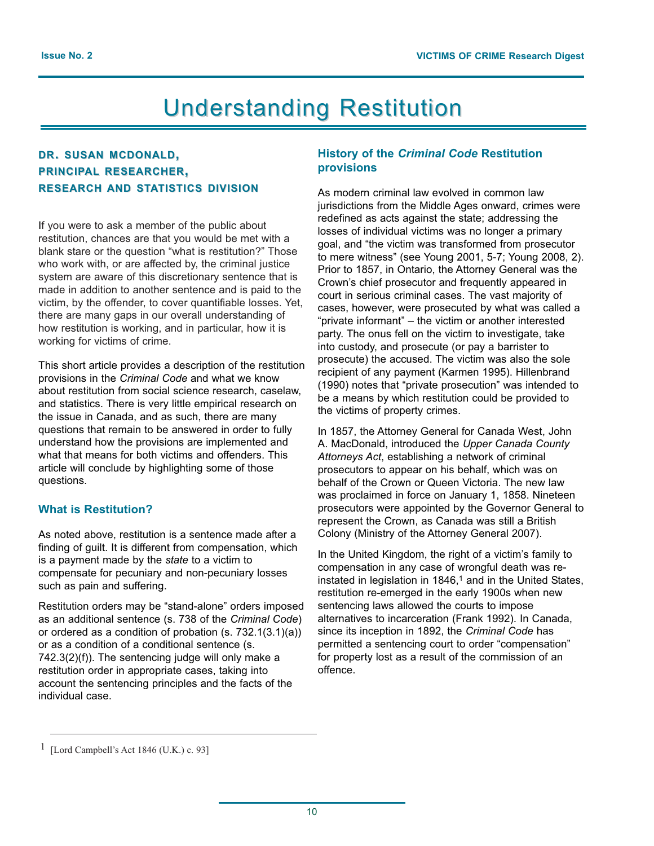# **Understanding Restitution**

#### **DR. SUSAN MCDONALD, PRINCIPAL RESEARCHER, RESEARCH RESEARCH AND STATISTICS TISTICS DIVISION DIVISION**

If you were to ask a member of the public about restitution, chances are that you would be met with a blank stare or the question "what is restitution?" Those who work with, or are affected by, the criminal justice system are aware of this discretionary sentence that is made in addition to another sentence and is paid to the victim, by the offender, to cover quantifiable losses. Yet, there are many gaps in our overall understanding of how restitution is working, and in particular, how it is working for victims of crime.

This short article provides a description of the restitution provisions in the *Criminal Code* and what we know about restitution from social science research, caselaw, and statistics. There is very little empirical research on the issue in Canada, and as such, there are many questions that remain to be answered in order to fully understand how the provisions are implemented and what that means for both victims and offenders. This article will conclude by highlighting some of those questions.

#### **What is Restitution?**

As noted above, restitution is a sentence made after a finding of guilt. It is different from compensation, which is a payment made by the *state* to a victim to compensate for pecuniary and non-pecuniary losses such as pain and suffering.

Restitution orders may be "stand-alone" orders imposed as an additional sentence (s. 738 of the *Criminal Code*) or ordered as a condition of probation (s. 732.1(3.1)(a)) or as a condition of a conditional sentence (s. 742.3(2)(f)). The sentencing judge will only make a restitution order in appropriate cases, taking into account the sentencing principles and the facts of the individual case.

#### **History of the** *Criminal Code* **Restitution provisions**

As modern criminal law evolved in common law jurisdictions from the Middle Ages onward, crimes were redefined as acts against the state; addressing the losses of individual victims was no longer a primary goal, and "the victim was transformed from prosecutor to mere witness" (see Young 2001, 5-7; Young 2008, 2). Prior to 1857, in Ontario, the Attorney General was the Crown's chief prosecutor and frequently appeared in court in serious criminal cases. The vast majority of cases, however, were prosecuted by what was called a "private informant" – the victim or another interested party. The onus fell on the victim to investigate, take into custody, and prosecute (or pay a barrister to prosecute) the accused. The victim was also the sole recipient of any payment (Karmen 1995). Hillenbrand (1990) notes that "private prosecution" was intended to be a means by which restitution could be provided to the victims of property crimes.

In 1857, the Attorney General for Canada West, John A. MacDonald, introduced the *Upper Canada County Attorneys Act*, establishing a network of criminal prosecutors to appear on his behalf, which was on behalf of the Crown or Queen Victoria. The new law was proclaimed in force on January 1, 1858. Nineteen prosecutors were appointed by the Governor General to represent the Crown, as Canada was still a British Colony (Ministry of the Attorney General 2007).

In the United Kingdom, the right of a victim's family to compensation in any case of wrongful death was reinstated in legislation in  $1846<sup>1</sup>$  and in the United States, restitution re-emerged in the early 1900s when new sentencing laws allowed the courts to impose alternatives to incarceration (Frank 1992). In Canada, since its inception in 1892, the *Criminal Code* has permitted a sentencing court to order "compensation" for property lost as a result of the commission of an offence.

<sup>&</sup>lt;sup>1</sup> [Lord Campbell's Act 1846 (U.K.) c. 93]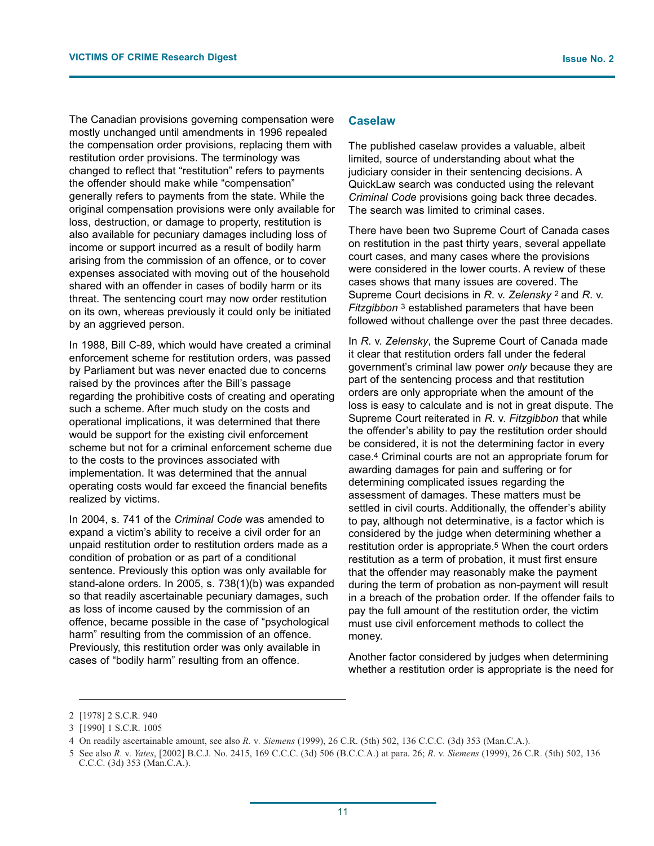The Canadian provisions governing compensation were mostly unchanged until amendments in 1996 repealed the compensation order provisions, replacing them with restitution order provisions. The terminology was changed to reflect that "restitution" refers to payments the offender should make while "compensation" generally refers to payments from the state. While the original compensation provisions were only available for loss, destruction, or damage to property, restitution is also available for pecuniary damages including loss of income or support incurred as a result of bodily harm arising from the commission of an offence, or to cover expenses associated with moving out of the household shared with an offender in cases of bodily harm or its threat. The sentencing court may now order restitution on its own, whereas previously it could only be initiated by an aggrieved person.

In 1988, Bill C-89, which would have created a criminal enforcement scheme for restitution orders, was passed by Parliament but was never enacted due to concerns raised by the provinces after the Bill's passage regarding the prohibitive costs of creating and operating such a scheme. After much study on the costs and operational implications, it was determined that there would be support for the existing civil enforcement scheme but not for a criminal enforcement scheme due to the costs to the provinces associated with implementation. It was determined that the annual operating costs would far exceed the financial benefits realized by victims.

In 2004, s. 741 of the *Criminal Code* was amended to expand a victim's ability to receive a civil order for an unpaid restitution order to restitution orders made as a condition of probation or as part of a conditional sentence. Previously this option was only available for stand-alone orders. In 2005, s. 738(1)(b) was expanded so that readily ascertainable pecuniary damages, such as loss of income caused by the commission of an offence, became possible in the case of "psychological harm" resulting from the commission of an offence. Previously, this restitution order was only available in cases of "bodily harm" resulting from an offence.

#### **Caselaw**

The published caselaw provides a valuable, albeit limited, source of understanding about what the judiciary consider in their sentencing decisions. A QuickLaw search was conducted using the relevant *Criminal Code* provisions going back three decades. The search was limited to criminal cases.

There have been two Supreme Court of Canada cases on restitution in the past thirty years, several appellate court cases, and many cases where the provisions were considered in the lower courts. A review of these cases shows that many issues are covered. The Supreme Court decisions in *R*. v. *Zelensky* 2 and *R*. v. *Fitzgibbon* <sup>3</sup> established parameters that have been followed without challenge over the past three decades.

In *R*. v. *Zelensky*, the Supreme Court of Canada made it clear that restitution orders fall under the federal government's criminal law power *only* because they are part of the sentencing process and that restitution orders are only appropriate when the amount of the loss is easy to calculate and is not in great dispute. The Supreme Court reiterated in *R*. v. *Fitzgibbon* that while the offender's ability to pay the restitution order should be considered, it is not the determining factor in every case.4 Criminal courts are not an appropriate forum for awarding damages for pain and suffering or for determining complicated issues regarding the assessment of damages. These matters must be settled in civil courts. Additionally, the offender's ability to pay, although not determinative, is a factor which is considered by the judge when determining whether a restitution order is appropriate.<sup>5</sup> When the court orders restitution as a term of probation, it must first ensure that the offender may reasonably make the payment during the term of probation as non-payment will result in a breach of the probation order. If the offender fails to pay the full amount of the restitution order, the victim must use civil enforcement methods to collect the money.

Another factor considered by judges when determining whether a restitution order is appropriate is the need for

<sup>2 [1978] 2</sup> S.C.R. 940

<sup>3 [1990] 1</sup> S.C.R. 1005

<sup>4</sup> On readily ascertainable amount, see also *R.* v*. Siemens* (1999), 26 C.R. (5th) 502, 136 C.C.C. (3d) 353 (Man.C.A.).

<sup>5</sup> See also *R*. v. *Yates*, [2002] B.C.J. No. 2415, 169 C.C.C. (3d) 506 (B.C.C.A.) at para. 26; *R*. v. *Siemens* (1999), 26 C.R. (5th) 502, 136 C.C.C. (3d) 353 (Man.C.A.).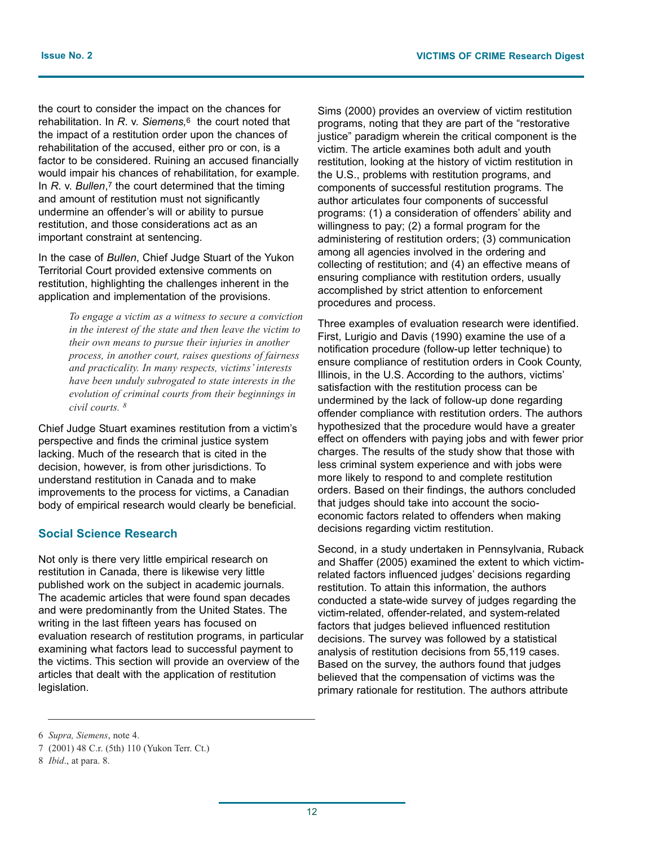the court to consider the impact on the chances for rehabilitation. In *R*. v. *Siemens,*<sup>6</sup> the court noted that the impact of a restitution order upon the chances of rehabilitation of the accused, either pro or con, is a factor to be considered. Ruining an accused financially would impair his chances of rehabilitation, for example. In *R*. v. *Bullen*<sup>7</sup>, the court determined that the timing and amount of restitution must not significantly undermine an offender's will or ability to pursue restitution, and those considerations act as an important constraint at sentencing.

In the case of *Bullen*, Chief Judge Stuart of the Yukon Territorial Court provided extensive comments on restitution, highlighting the challenges inherent in the application and implementation of the provisions.

> *To engage a victim as a witness to secure a conviction in the interest of the state and then leave the victim to their own means to pursue their injuries in another process, in another court, raises questions of fairness and practicality. In many respects, victims' interests have been unduly subrogated to state interests in the evolution of criminal courts from their beginnings in civil courts. 8*

Chief Judge Stuart examines restitution from a victim's perspective and finds the criminal justice system lacking. Much of the research that is cited in the decision, however, is from other jurisdictions. To understand restitution in Canada and to make improvements to the process for victims, a Canadian body of empirical research would clearly be beneficial.

#### **Social Science Research**

Not only is there very little empirical research on restitution in Canada, there is likewise very little published work on the subject in academic journals. The academic articles that were found span decades and were predominantly from the United States. The writing in the last fifteen years has focused on evaluation research of restitution programs, in particular examining what factors lead to successful payment to the victims. This section will provide an overview of the articles that dealt with the application of restitution legislation.

Sims (2000) provides an overview of victim restitution programs, noting that they are part of the "restorative justice" paradigm wherein the critical component is the victim. The article examines both adult and youth restitution, looking at the history of victim restitution in the U.S., problems with restitution programs, and components of successful restitution programs. The author articulates four components of successful programs: (1) a consideration of offenders' ability and willingness to pay; (2) a formal program for the administering of restitution orders; (3) communication among all agencies involved in the ordering and collecting of restitution; and (4) an effective means of ensuring compliance with restitution orders, usually accomplished by strict attention to enforcement procedures and process.

Three examples of evaluation research were identified. First, Lurigio and Davis (1990) examine the use of a notification procedure (follow-up letter technique) to ensure compliance of restitution orders in Cook County, Illinois, in the U.S. According to the authors, victims' satisfaction with the restitution process can be undermined by the lack of follow-up done regarding offender compliance with restitution orders. The authors hypothesized that the procedure would have a greater effect on offenders with paying jobs and with fewer prior charges. The results of the study show that those with less criminal system experience and with jobs were more likely to respond to and complete restitution orders. Based on their findings, the authors concluded that judges should take into account the socioeconomic factors related to offenders when making decisions regarding victim restitution.

Second, in a study undertaken in Pennsylvania, Ruback and Shaffer (2005) examined the extent to which victimrelated factors influenced judges' decisions regarding restitution. To attain this information, the authors conducted a state-wide survey of judges regarding the victim-related, offender-related, and system-related factors that judges believed influenced restitution decisions. The survey was followed by a statistical analysis of restitution decisions from 55,119 cases. Based on the survey, the authors found that judges believed that the compensation of victims was the primary rationale for restitution. The authors attribute

<sup>6</sup> *Supra, Siemens*, note 4.

<sup>7 (2001) 48</sup> C.r. (5th) 110 (Yukon Terr. Ct.)

<sup>8</sup> *Ibid*., at para. 8.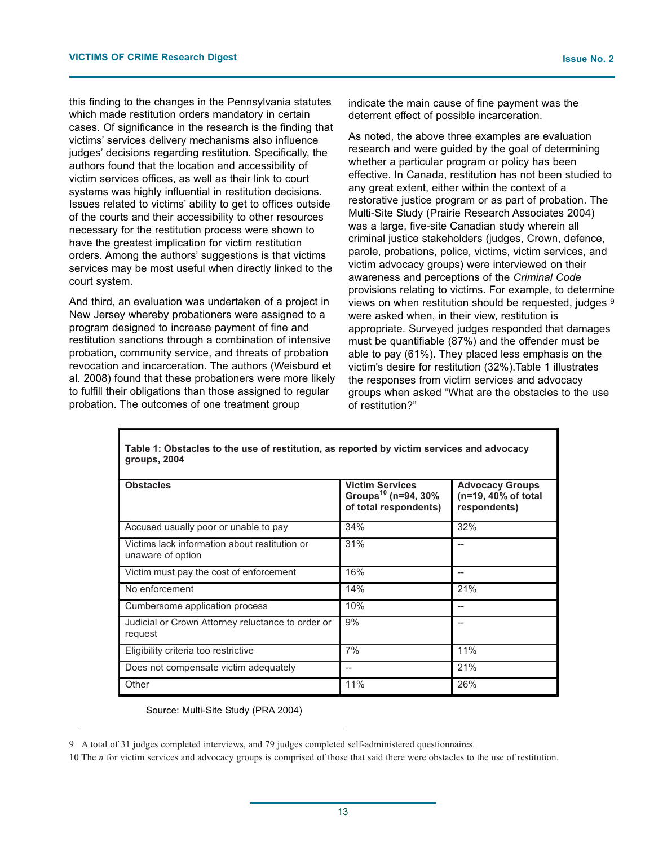this finding to the changes in the Pennsylvania statutes which made restitution orders mandatory in certain cases. Of significance in the research is the finding that victims' services delivery mechanisms also influence judges' decisions regarding restitution. Specifically, the authors found that the location and accessibility of victim services offices, as well as their link to court systems was highly influential in restitution decisions. Issues related to victims' ability to get to offices outside of the courts and their accessibility to other resources necessary for the restitution process were shown to have the greatest implication for victim restitution orders. Among the authors' suggestions is that victims services may be most useful when directly linked to the court system.

And third, an evaluation was undertaken of a project in New Jersey whereby probationers were assigned to a program designed to increase payment of fine and restitution sanctions through a combination of intensive probation, community service, and threats of probation revocation and incarceration. The authors (Weisburd et al. 2008) found that these probationers were more likely to fulfill their obligations than those assigned to regular probation. The outcomes of one treatment group

indicate the main cause of fine payment was the deterrent effect of possible incarceration.

As noted, the above three examples are evaluation research and were guided by the goal of determining whether a particular program or policy has been effective. In Canada, restitution has not been studied to any great extent, either within the context of a restorative justice program or as part of probation. The Multi-Site Study (Prairie Research Associates 2004) was a large, five-site Canadian study wherein all criminal justice stakeholders (judges, Crown, defence, parole, probations, police, victims, victim services, and victim advocacy groups) were interviewed on their awareness and perceptions of the *Criminal Code* provisions relating to victims. For example, to determine views on when restitution should be requested, judges 9 were asked when, in their view, restitution is appropriate. Surveyed judges responded that damages must be quantifiable (87%) and the offender must be able to pay (61%). They placed less emphasis on the victim's desire for restitution (32%).Table 1 illustrates the responses from victim services and advocacy groups when asked "What are the obstacles to the use of restitution?"

| <b>Obstacles</b>                                                   | <b>Victim Services</b><br>Groups <sup>10</sup> (n=94, 30%)<br>of total respondents) | <b>Advocacy Groups</b><br>(n=19, 40% of total<br>respondents) |  |
|--------------------------------------------------------------------|-------------------------------------------------------------------------------------|---------------------------------------------------------------|--|
| Accused usually poor or unable to pay                              | 34%                                                                                 | 32%                                                           |  |
| Victims lack information about restitution or<br>unaware of option | 31%                                                                                 |                                                               |  |
| Victim must pay the cost of enforcement                            | 16%                                                                                 |                                                               |  |
| No enforcement                                                     | 14%                                                                                 | 21%                                                           |  |
| Cumbersome application process                                     | 10%                                                                                 |                                                               |  |
| Judicial or Crown Attorney reluctance to order or<br>request       | 9%                                                                                  |                                                               |  |
| Eligibility criteria too restrictive                               | 7%                                                                                  | 11%                                                           |  |
| Does not compensate victim adequately                              |                                                                                     | 21%                                                           |  |
| Other                                                              | 11%                                                                                 | 26%                                                           |  |

**Table 1: Obstacles to the use of restitution, as reported by victim services and advocacy groups, 2004** 

Source: Multi-Site Study (PRA 2004)

<sup>9</sup> A total of 31 judges completed interviews, and 79 judges completed self-administered questionnaires.

<sup>10</sup> The *n* for victim services and advocacy groups is comprised of those that said there were obstacles to the use of restitution.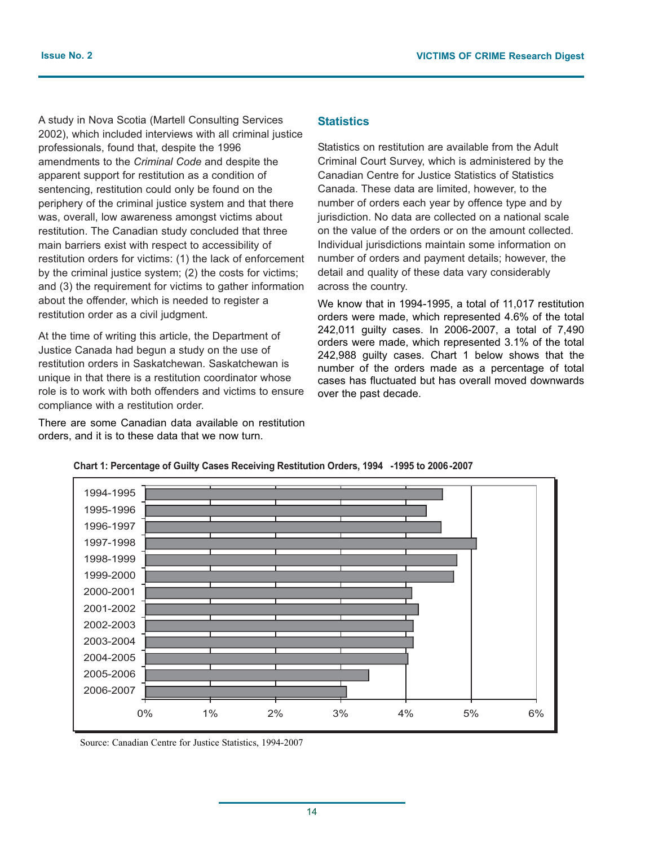A study in Nova Scotia (Martell Consulting Services 2002), which included interviews with all criminal justice professionals, found that, despite the 1996 amendments to the *Criminal Code* and despite the apparent support for restitution as a condition of sentencing, restitution could only be found on the periphery of the criminal justice system and that there was, overall, low awareness amongst victims about restitution. The Canadian study concluded that three main barriers exist with respect to accessibility of restitution orders for victims: (1) the lack of enforcement by the criminal justice system; (2) the costs for victims; and (3) the requirement for victims to gather information about the offender, which is needed to register a restitution order as a civil judgment.

At the time of writing this article, the Department of Justice Canada had begun a study on the use of restitution orders in Saskatchewan. Saskatchewan is unique in that there is a restitution coordinator whose role is to work with both offenders and victims to ensure compliance with a restitution order.

There are some Canadian data available on restitution orders, and it is to these data that we now turn.

#### **Statistics**

Statistics on restitution are available from the Adult Criminal Court Survey, which is administered by the Canadian Centre for Justice Statistics of Statistics Canada. These data are limited, however, to the number of orders each year by offence type and by jurisdiction. No data are collected on a national scale on the value of the orders or on the amount collected. Individual jurisdictions maintain some information on number of orders and payment details; however, the detail and quality of these data vary considerably across the country.

We know that in 1994-1995, a total of 11,017 restitution orders were made, which represented 4.6% of the total 242,011 guilty cases. In 2006-2007, a total of 7,490 orders were made, which represented 3.1% of the total 242,988 guilty cases. Chart 1 below shows that the number of the orders made as a percentage of total cases has fluctuated but has overall moved downwards over the past decade.



**Chart 1: Percentage of Guilty Cases Receiving Restitution Orders, 1994 -1995 to 2006-2007** 

Source: Canadian Centre for Justice Statistics, 1994-2007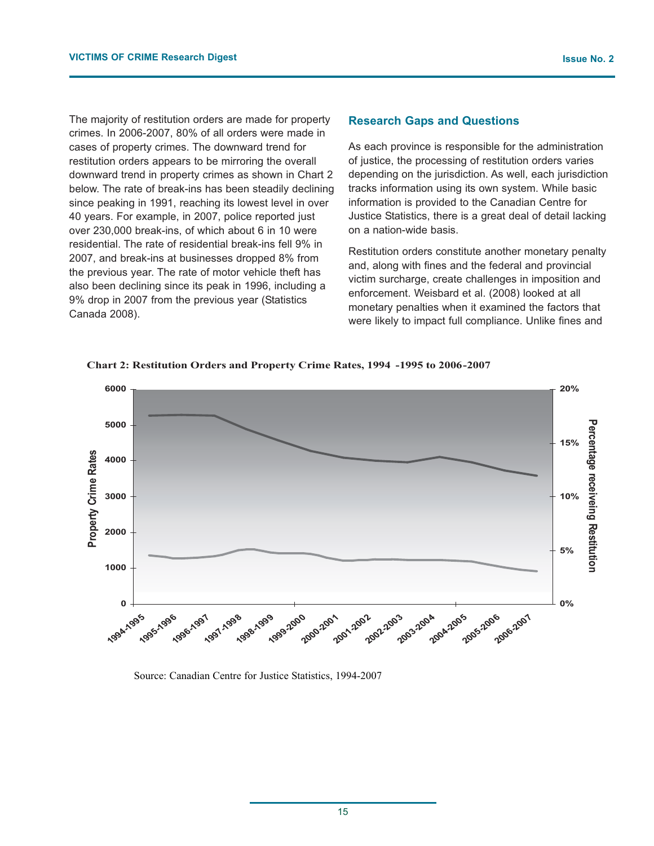The majority of restitution orders are made for property crimes. In 2006-2007, 80% of all orders were made in cases of property crimes. The downward trend for restitution orders appears to be mirroring the overall downward trend in property crimes as shown in Chart 2 below. The rate of break-ins has been steadily declining since peaking in 1991, reaching its lowest level in over 40 years. For example, in 2007, police reported just over 230,000 break-ins, of which about 6 in 10 were residential. The rate of residential break-ins fell 9% in 2007, and break-ins at businesses dropped 8% from the previous year. The rate of motor vehicle theft has also been declining since its peak in 1996, including a 9% drop in 2007 from the previous year (Statistics Canada 2008).

#### **Research Gaps and Questions**

As each province is responsible for the administration of justice, the processing of restitution orders varies depending on the jurisdiction. As well, each jurisdiction tracks information using its own system. While basic information is provided to the Canadian Centre for Justice Statistics, there is a great deal of detail lacking on a nation-wide basis.

Restitution orders constitute another monetary penalty and, along with fines and the federal and provincial victim surcharge, create challenges in imposition and enforcement. Weisbard et al. (2008) looked at all monetary penalties when it examined the factors that were likely to impact full compliance. Unlike fines and



**Chart 2: Restitution Orders and Property Crime Rates, 1994 -1995 to 2006-2007**

Source: Canadian Centre for Justice Statistics, 1994-2007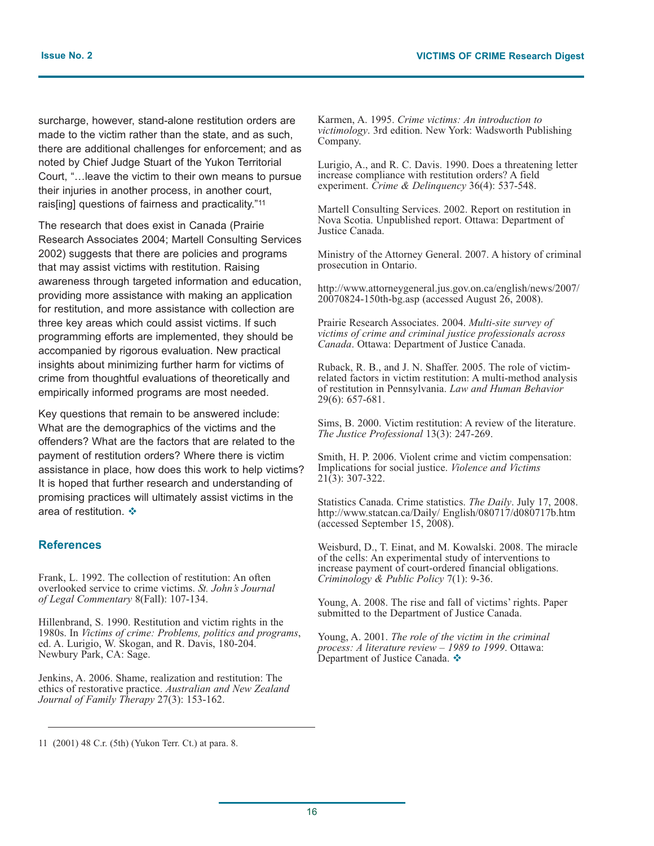surcharge, however, stand-alone restitution orders are made to the victim rather than the state, and as such, there are additional challenges for enforcement; and as noted by Chief Judge Stuart of the Yukon Territorial Court, "…leave the victim to their own means to pursue their injuries in another process, in another court, rais[ing] questions of fairness and practicality."11

The research that does exist in Canada (Prairie Research Associates 2004; Martell Consulting Services 2002) suggests that there are policies and programs that may assist victims with restitution. Raising awareness through targeted information and education, providing more assistance with making an application for restitution, and more assistance with collection are three key areas which could assist victims. If such programming efforts are implemented, they should be accompanied by rigorous evaluation. New practical insights about minimizing further harm for victims of crime from thoughtful evaluations of theoretically and empirically informed programs are most needed.

Key questions that remain to be answered include: What are the demographics of the victims and the offenders? What are the factors that are related to the payment of restitution orders? Where there is victim assistance in place, how does this work to help victims? It is hoped that further research and understanding of promising practices will ultimately assist victims in the area of restitution.  $\clubsuit$ 

#### **References**

Frank, L. 1992. The collection of restitution: An often overlooked service to crime victims. *St. John's Journal of Legal Commentary* 8(Fall): 107-134.

Hillenbrand, S. 1990. Restitution and victim rights in the 1980s. In Victims of crime: Problems, politics and programs, ed. A. Lurigio, W. Skogan, and R. Davis, 180-204. Newbury Park, CA: Sage.

Jenkins, A. 2006. Shame, realization and restitution: The ethics of restorative practice. *Australian and New Zealand Journal of Family Therapy* 27(3): 153-162.

Karmen, A. 1995. *Crime victims: An introduction to victimology*. 3rd edition. New York: Wadsworth Publishing Company.

Lurigio, A., and R. C. Davis. 1990. Does a threatening letter increase compliance with restitution orders? A field experiment. *Crime & Delinquency* 36(4): 537-548.

Martell Consulting Services. 2002. Report on restitution in Nova Scotia. Unpublished report. Ottawa: Department of Justice Canada.

Ministry of the Attorney General. 2007. A history of criminal prosecution in Ontario.

http://www.attorneygeneral.jus.gov.on.ca/english/news/2007/ 20070824-150th-bg.asp (accessed August 26, 2008).

Prairie Research Associates. 2004. *Multi-site survey of victims of crime and criminal justice professionals across Canada*. Ottawa: Department of Justice Canada.

Ruback, R. B., and J. N. Shaffer. 2005. The role of victimrelated factors in victim restitution: A multi-method analysis of restitution in Pennsylvania. *Law and Human Behavior* 29(6): 657-681.

Sims, B. 2000. Victim restitution: A review of the literature. *The Justice Professional* 13(3): 247-269.

Smith, H. P. 2006. Violent crime and victim compensation: Implications for social justice. *Violence and Victims* 21(3): 307-322.

Statistics Canada. Crime statistics. *The Daily*. July 17, 2008. http://www.statcan.ca/Daily/ English/080717/d080717b.htm (accessed September 15, 2008).

Weisburd, D., T. Einat, and M. Kowalski. 2008. The miracle of the cells: An experimental study of interventions to increase payment of court-ordered financial obligations. *Criminology & Public Policy* 7(1): 9-36.

Young, A. 2008. The rise and fall of victims' rights. Paper submitted to the Department of Justice Canada.

Young, A. 2001. *The role of the victim in the criminal process: A literature review – 1989 to 1999*. Ottawa: Department of Justice Canada.

<sup>11 (2001) 48</sup> C.r. (5th) (Yukon Terr. Ct.) at para. 8.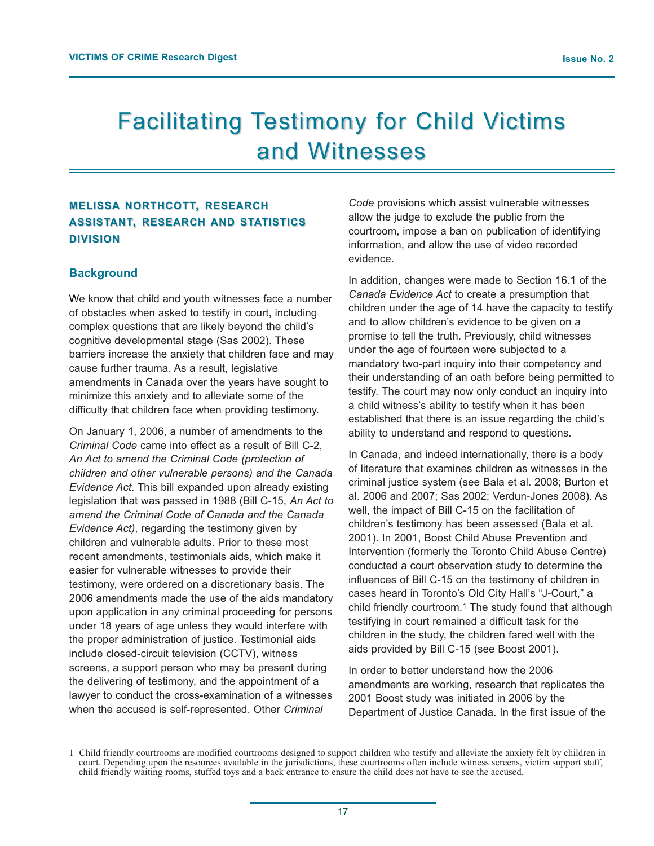## Facilitating Testimony for Child Victims and Witnesses

#### **MELISSA MELISSA NORTHCOTT NORTHCOTT, RESEARCH RESEARCH ASSISTANT, RESEARCH RESEARCH AND STATISTICS TISTICS DIVISION DIVISION**

#### **Background**

We know that child and youth witnesses face a number of obstacles when asked to testify in court, including complex questions that are likely beyond the child's cognitive developmental stage (Sas 2002). These barriers increase the anxiety that children face and may cause further trauma. As a result, legislative amendments in Canada over the years have sought to minimize this anxiety and to alleviate some of the difficulty that children face when providing testimony.

On January 1, 2006, a number of amendments to the *Criminal Code* came into effect as a result of Bill C-2, *An Act to amend the Criminal Code (protection of children and other vulnerable persons) and the Canada Evidence Act*. This bill expanded upon already existing legislation that was passed in 1988 (Bill C-15, *An Act to amend the Criminal Code of Canada and the Canada Evidence Act)*, regarding the testimony given by children and vulnerable adults. Prior to these most recent amendments, testimonials aids, which make it easier for vulnerable witnesses to provide their testimony, were ordered on a discretionary basis. The 2006 amendments made the use of the aids mandatory upon application in any criminal proceeding for persons under 18 years of age unless they would interfere with the proper administration of justice. Testimonial aids include closed-circuit television (CCTV), witness screens, a support person who may be present during the delivering of testimony, and the appointment of a lawyer to conduct the cross-examination of a witnesses when the accused is self-represented. Other *Criminal*

*Code* provisions which assist vulnerable witnesses allow the judge to exclude the public from the courtroom, impose a ban on publication of identifying information, and allow the use of video recorded evidence.

In addition, changes were made to Section 16.1 of the *Canada Evidence Act* to create a presumption that children under the age of 14 have the capacity to testify and to allow children's evidence to be given on a promise to tell the truth. Previously, child witnesses under the age of fourteen were subjected to a mandatory two-part inquiry into their competency and their understanding of an oath before being permitted to testify. The court may now only conduct an inquiry into a child witness's ability to testify when it has been established that there is an issue regarding the child's ability to understand and respond to questions.

In Canada, and indeed internationally, there is a body of literature that examines children as witnesses in the criminal justice system (see Bala et al. 2008; Burton et al. 2006 and 2007; Sas 2002; Verdun-Jones 2008). As well, the impact of Bill C-15 on the facilitation of children's testimony has been assessed (Bala et al. 2001). In 2001, Boost Child Abuse Prevention and Intervention (formerly the Toronto Child Abuse Centre) conducted a court observation study to determine the influences of Bill C-15 on the testimony of children in cases heard in Toronto's Old City Hall's "J-Court," a child friendly courtroom.<sup>1</sup> The study found that although testifying in court remained a difficult task for the children in the study, the children fared well with the aids provided by Bill C-15 (see Boost 2001).

In order to better understand how the 2006 amendments are working, research that replicates the 2001 Boost study was initiated in 2006 by the Department of Justice Canada. In the first issue of the

<sup>1</sup> Child friendly courtrooms are modified courtrooms designed to support children who testify and alleviate the anxiety felt by children in court. Depending upon the resources available in the jurisdictions, these courtrooms often include witness screens, victim support staff, child friendly waiting rooms, stuffed toys and a back entrance to ensure the child does not have to see the accused.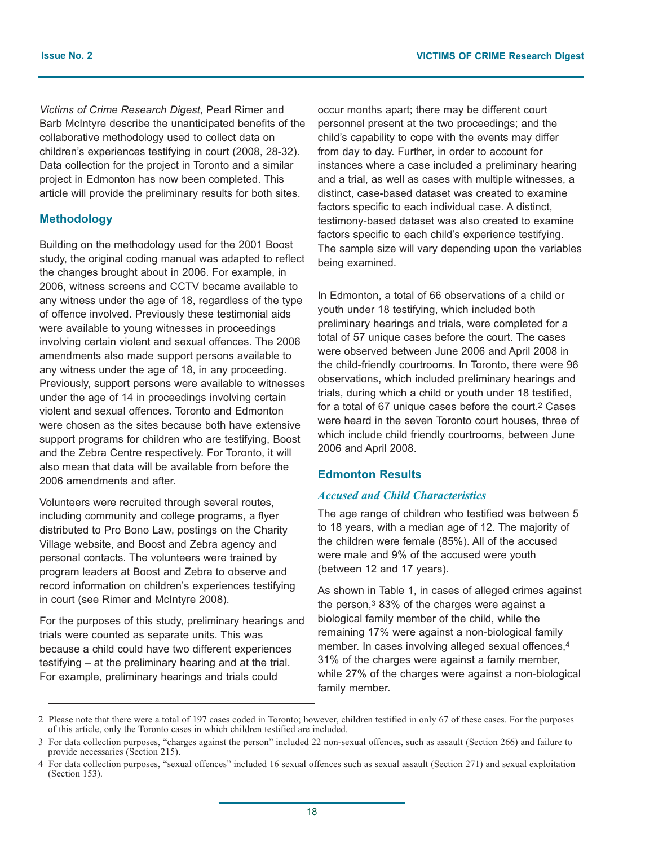*Victims of Crime Research Digest*, Pearl Rimer and Barb McIntyre describe the unanticipated benefits of the collaborative methodology used to collect data on children's experiences testifying in court (2008, 28-32). Data collection for the project in Toronto and a similar project in Edmonton has now been completed. This article will provide the preliminary results for both sites.

#### **Methodology**

Building on the methodology used for the 2001 Boost study, the original coding manual was adapted to reflect the changes brought about in 2006. For example, in 2006, witness screens and CCTV became available to any witness under the age of 18, regardless of the type of offence involved. Previously these testimonial aids were available to young witnesses in proceedings involving certain violent and sexual offences. The 2006 amendments also made support persons available to any witness under the age of 18, in any proceeding. Previously, support persons were available to witnesses under the age of 14 in proceedings involving certain violent and sexual offences. Toronto and Edmonton were chosen as the sites because both have extensive support programs for children who are testifying, Boost and the Zebra Centre respectively. For Toronto, it will also mean that data will be available from before the 2006 amendments and after.

Volunteers were recruited through several routes, including community and college programs, a flyer distributed to Pro Bono Law, postings on the Charity Village website, and Boost and Zebra agency and personal contacts. The volunteers were trained by program leaders at Boost and Zebra to observe and record information on children's experiences testifying in court (see Rimer and McIntyre 2008).

For the purposes of this study, preliminary hearings and trials were counted as separate units. This was because a child could have two different experiences testifying – at the preliminary hearing and at the trial. For example, preliminary hearings and trials could

occur months apart; there may be different court personnel present at the two proceedings; and the child's capability to cope with the events may differ from day to day. Further, in order to account for instances where a case included a preliminary hearing and a trial, as well as cases with multiple witnesses, a distinct, case-based dataset was created to examine factors specific to each individual case. A distinct, testimony-based dataset was also created to examine factors specific to each child's experience testifying. The sample size will vary depending upon the variables being examined.

In Edmonton, a total of 66 observations of a child or youth under 18 testifying, which included both preliminary hearings and trials, were completed for a total of 57 unique cases before the court. The cases were observed between June 2006 and April 2008 in the child-friendly courtrooms. In Toronto, there were 96 observations, which included preliminary hearings and trials, during which a child or youth under 18 testified, for a total of 67 unique cases before the court.<sup>2</sup> Cases were heard in the seven Toronto court houses, three of which include child friendly courtrooms, between June 2006 and April 2008.

#### **Edmonton Results**

#### *Accused and Child Characteristics*

The age range of children who testified was between 5 to 18 years, with a median age of 12. The majority of the children were female (85%). All of the accused were male and 9% of the accused were youth (between 12 and 17 years).

As shown in Table 1, in cases of alleged crimes against the person,3 83% of the charges were against a biological family member of the child, while the remaining 17% were against a non-biological family member. In cases involving alleged sexual offences,4 31% of the charges were against a family member, while 27% of the charges were against a non-biological family member.

<sup>2</sup> Please note that there were a total of 197 cases coded in Toronto; however, children testified in only 67 of these cases. For the purposes of this article, only the Toronto cases in which children testified are included.

<sup>3</sup> For data collection purposes, "charges against the person" included 22 non-sexual offences, such as assault (Section 266) and failure to provide necessaries (Section 215).

<sup>4</sup> For data collection purposes, "sexual offences" included 16 sexual offences such as sexual assault (Section 271) and sexual exploitation (Section 153).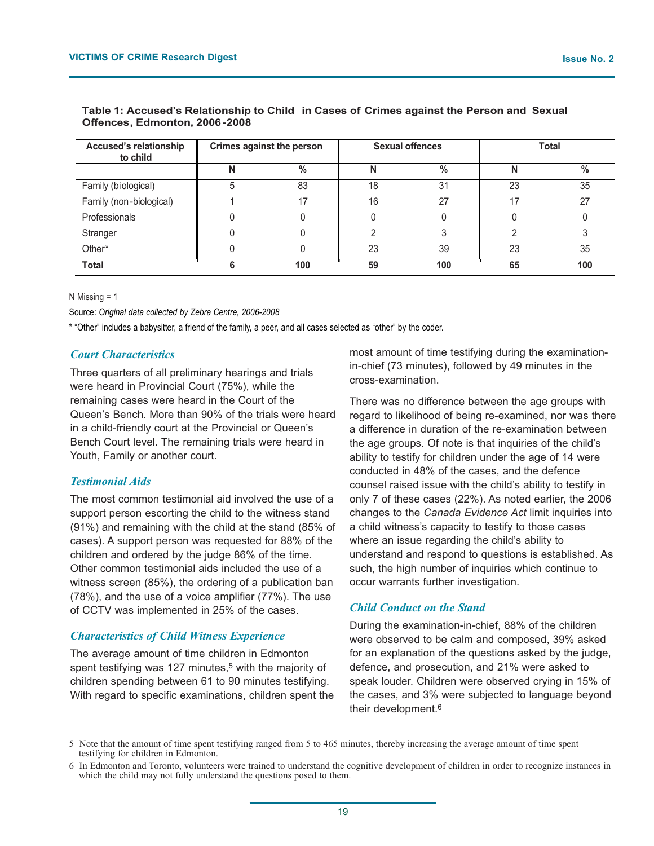| <b>Accused's relationship</b><br>to child | <b>Crimes against the person</b> |      |    | <b>Sexual offences</b> |    | <b>Total</b> |  |
|-------------------------------------------|----------------------------------|------|----|------------------------|----|--------------|--|
|                                           | N                                | $\%$ | N  | $\%$                   | N  | %            |  |
| Family (biological)                       |                                  | 83   | 18 | 31                     | 23 | 35           |  |
| Family (non-biological)                   |                                  | 17   | 16 | 27                     |    | 27           |  |
| Professionals                             |                                  |      |    |                        |    |              |  |
| Stranger                                  |                                  |      |    |                        |    |              |  |
| Other*                                    |                                  |      | 23 | 39                     | 23 | 35           |  |
| <b>Total</b>                              |                                  | 100  | 59 | 100                    | 65 | 100          |  |

#### **Table 1: Accused's Relationship to Child in Cases of Crimes against the Person and Sexual Offences, Edmonton, 2006 -2008**

N Missing = 1

Source: *Original data collected by Zebra Centre, 2006-2008*

\* "Other" includes a babysitter, a friend of the family, a peer, and all cases selected as "other" by the coder.

#### *Court Characteristics*

Three quarters of all preliminary hearings and trials were heard in Provincial Court (75%), while the remaining cases were heard in the Court of the Queen's Bench. More than 90% of the trials were heard in a child-friendly court at the Provincial or Queen's Bench Court level. The remaining trials were heard in Youth, Family or another court.

#### *Testimonial Aids*

The most common testimonial aid involved the use of a support person escorting the child to the witness stand (91%) and remaining with the child at the stand (85% of cases). A support person was requested for 88% of the children and ordered by the judge 86% of the time. Other common testimonial aids included the use of a witness screen (85%), the ordering of a publication ban (78%), and the use of a voice amplifier (77%). The use of CCTV was implemented in 25% of the cases.

#### *Characteristics of Child Witness Experience*

The average amount of time children in Edmonton spent testifying was 127 minutes,<sup>5</sup> with the majority of children spending between 61 to 90 minutes testifying. With regard to specific examinations, children spent the most amount of time testifying during the examinationin-chief (73 minutes), followed by 49 minutes in the cross-examination.

There was no difference between the age groups with regard to likelihood of being re-examined, nor was there a difference in duration of the re-examination between the age groups. Of note is that inquiries of the child's ability to testify for children under the age of 14 were conducted in 48% of the cases, and the defence counsel raised issue with the child's ability to testify in only 7 of these cases (22%). As noted earlier, the 2006 changes to the *Canada Evidence Act* limit inquiries into a child witness's capacity to testify to those cases where an issue regarding the child's ability to understand and respond to questions is established. As such, the high number of inquiries which continue to occur warrants further investigation.

#### *Child Conduct on the Stand*

During the examination-in-chief, 88% of the children were observed to be calm and composed, 39% asked for an explanation of the questions asked by the judge, defence, and prosecution, and 21% were asked to speak louder. Children were observed crying in 15% of the cases, and 3% were subjected to language beyond their development.6

<sup>5</sup> Note that the amount of time spent testifying ranged from 5 to 465 minutes, thereby increasing the average amount of time spent testifying for children in Edmonton.

<sup>6</sup> In Edmonton and Toronto, volunteers were trained to understand the cognitive development of children in order to recognize instances in which the child may not fully understand the questions posed to them.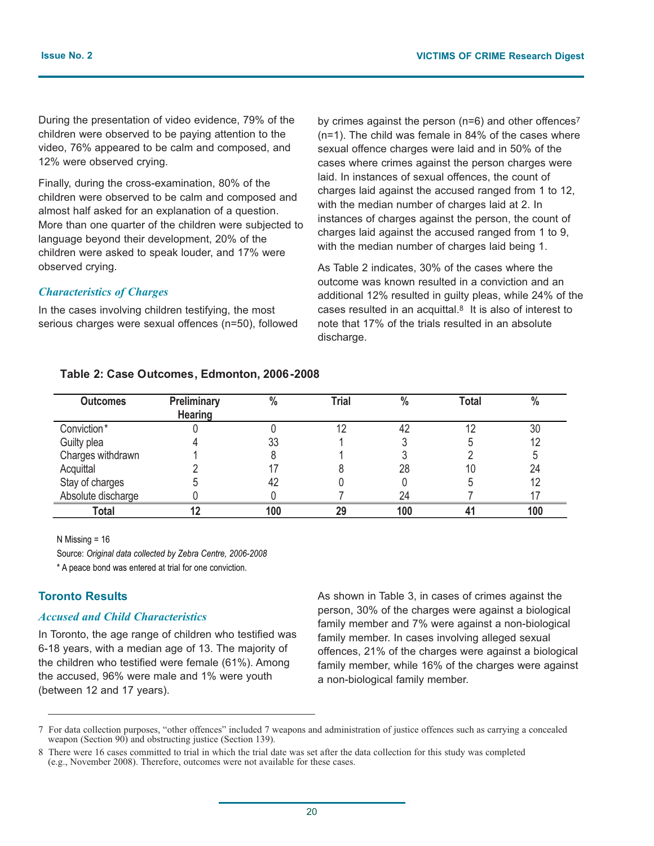During the presentation of video evidence, 79% of the children were observed to be paying attention to the video, 76% appeared to be calm and composed, and 12% were observed crying.

Finally, during the cross-examination, 80% of the children were observed to be calm and composed and almost half asked for an explanation of a question. More than one quarter of the children were subjected to language beyond their development, 20% of the children were asked to speak louder, and 17% were observed crying.

#### *Characteristics of Charges*

In the cases involving children testifying, the most serious charges were sexual offences (n=50), followed by crimes against the person ( $n=6$ ) and other offences<sup>7</sup> (n=1). The child was female in 84% of the cases where sexual offence charges were laid and in 50% of the cases where crimes against the person charges were laid. In instances of sexual offences, the count of charges laid against the accused ranged from 1 to 12, with the median number of charges laid at 2. In instances of charges against the person, the count of charges laid against the accused ranged from 1 to 9, with the median number of charges laid being 1.

As Table 2 indicates, 30% of the cases where the outcome was known resulted in a conviction and an additional 12% resulted in guilty pleas, while 24% of the cases resulted in an acquittal. $8$  It is also of interest to note that 17% of the trials resulted in an absolute discharge.

| <b>Outcomes</b>    | <b>Preliminary</b><br><b>Hearing</b> | $\frac{0}{0}$ | <b>Trial</b> | $\frac{0}{0}$ | <b>Total</b> | $\frac{0}{0}$ |
|--------------------|--------------------------------------|---------------|--------------|---------------|--------------|---------------|
| Conviction*        |                                      |               |              | 42            | 10           | 30            |
| Guilty plea        |                                      | 33            |              |               |              | 12            |
| Charges withdrawn  |                                      |               |              |               |              |               |
| Acquittal          |                                      |               |              | 28            | 10           | 24            |
| Stay of charges    |                                      | 42            |              |               |              | 12            |
| Absolute discharge |                                      |               |              | 24            |              |               |
| Total              | 14                                   | 100           | 29           | 100           |              | 100           |

#### **Table 2: Case Outcomes, Edmonton, 2006-2008**

 $N$  Missing = 16

Source: *Original data collected by Zebra Centre, 2006-2008*

\* A peace bond was entered at trial for one conviction.

#### **Toronto Results**

#### *Accused and Child Characteristics*

In Toronto, the age range of children who testified was 6-18 years, with a median age of 13. The majority of the children who testified were female (61%). Among the accused, 96% were male and 1% were youth (between 12 and 17 years).

As shown in Table 3, in cases of crimes against the person, 30% of the charges were against a biological family member and 7% were against a non-biological family member. In cases involving alleged sexual offences, 21% of the charges were against a biological family member, while 16% of the charges were against a non-biological family member.

<sup>7</sup> For data collection purposes, "other offences" included 7 weapons and administration of justice offences such as carrying a concealed weapon (Section 90) and obstructing justice (Section 139).

<sup>8</sup> There were 16 cases committed to trial in which the trial date was set after the data collection for this study was completed (e.g., November 2008). Therefore, outcomes were not available for these cases.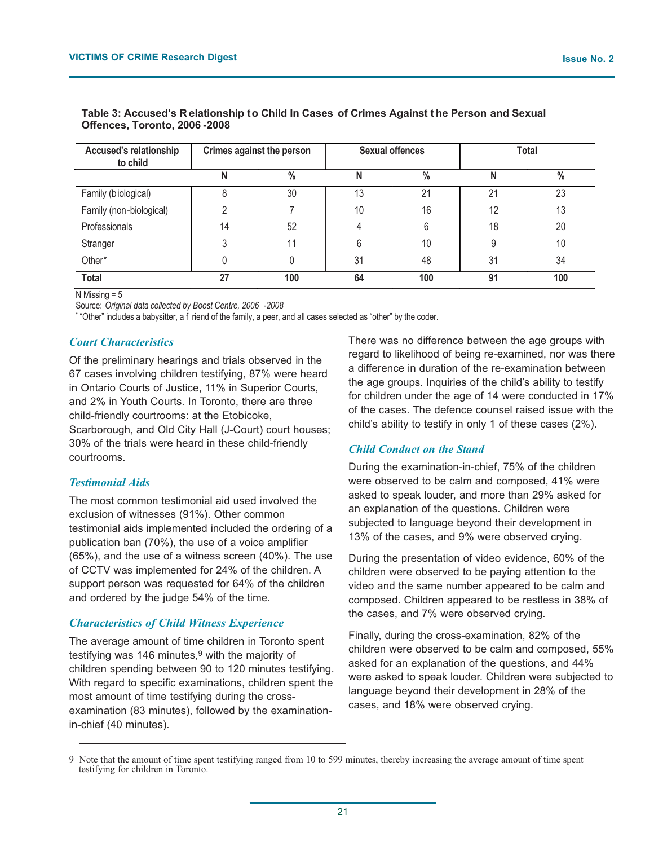| <b>Accused's relationship</b><br>to child |    | <b>Crimes against the person</b> | <b>Sexual offences</b> |               | <b>Total</b> |               |  |
|-------------------------------------------|----|----------------------------------|------------------------|---------------|--------------|---------------|--|
|                                           | N  | $\%$                             | N                      | $\frac{0}{0}$ | N            | $\frac{0}{0}$ |  |
| Family (biological)                       | 8  | 30                               | 13                     | 21            | 21           | 23            |  |
| Family (non-biological)                   |    |                                  | 10                     | 16            | 12           | 13            |  |
| Professionals                             | 14 | 52                               |                        | 6             | 18           | 20            |  |
| Stranger                                  | 3  | 11                               | 6                      | 10            | 9            | 10            |  |
| Other*                                    |    |                                  | 31                     | 48            | 31           | 34            |  |
| <b>Total</b>                              | 27 | 100                              | 64                     | 100           | 91           | 100           |  |

#### **Table 3: Accused's R elationship to Child In Cases of Crimes Against t he Person and Sexual Offences, Toronto, 2006 -2008**

N Missing = 5

Source: *Original data collected by Boost Centre, 2006 -2008*

\* "Other" includes a babysitter, a f riend of the family, a peer, and all cases selected as "other" by the coder.

#### *Court Characteristics*

Of the preliminary hearings and trials observed in the 67 cases involving children testifying, 87% were heard in Ontario Courts of Justice, 11% in Superior Courts, and 2% in Youth Courts. In Toronto, there are three child-friendly courtrooms: at the Etobicoke, Scarborough, and Old City Hall (J-Court) court houses; 30% of the trials were heard in these child-friendly courtrooms.

#### *Testimonial Aids*

The most common testimonial aid used involved the exclusion of witnesses (91%). Other common testimonial aids implemented included the ordering of a publication ban (70%), the use of a voice amplifier (65%), and the use of a witness screen (40%). The use of CCTV was implemented for 24% of the children. A support person was requested for 64% of the children and ordered by the judge 54% of the time.

#### *Characteristics of Child Witness Experience*

The average amount of time children in Toronto spent testifying was 146 minutes,<sup>9</sup> with the majority of children spending between 90 to 120 minutes testifying. With regard to specific examinations, children spent the most amount of time testifying during the crossexamination (83 minutes), followed by the examinationin-chief (40 minutes).

There was no difference between the age groups with regard to likelihood of being re-examined, nor was there a difference in duration of the re-examination between the age groups. Inquiries of the child's ability to testify for children under the age of 14 were conducted in 17% of the cases. The defence counsel raised issue with the child's ability to testify in only 1 of these cases (2%).

#### *Child Conduct on the Stand*

During the examination-in-chief, 75% of the children were observed to be calm and composed, 41% were asked to speak louder, and more than 29% asked for an explanation of the questions. Children were subjected to language beyond their development in 13% of the cases, and 9% were observed crying.

During the presentation of video evidence, 60% of the children were observed to be paying attention to the video and the same number appeared to be calm and composed. Children appeared to be restless in 38% of the cases, and 7% were observed crying.

Finally, during the cross-examination, 82% of the children were observed to be calm and composed, 55% asked for an explanation of the questions, and 44% were asked to speak louder. Children were subjected to language beyond their development in 28% of the cases, and 18% were observed crying.

<sup>9</sup> Note that the amount of time spent testifying ranged from 10 to 599 minutes, thereby increasing the average amount of time spent testifying for children in Toronto.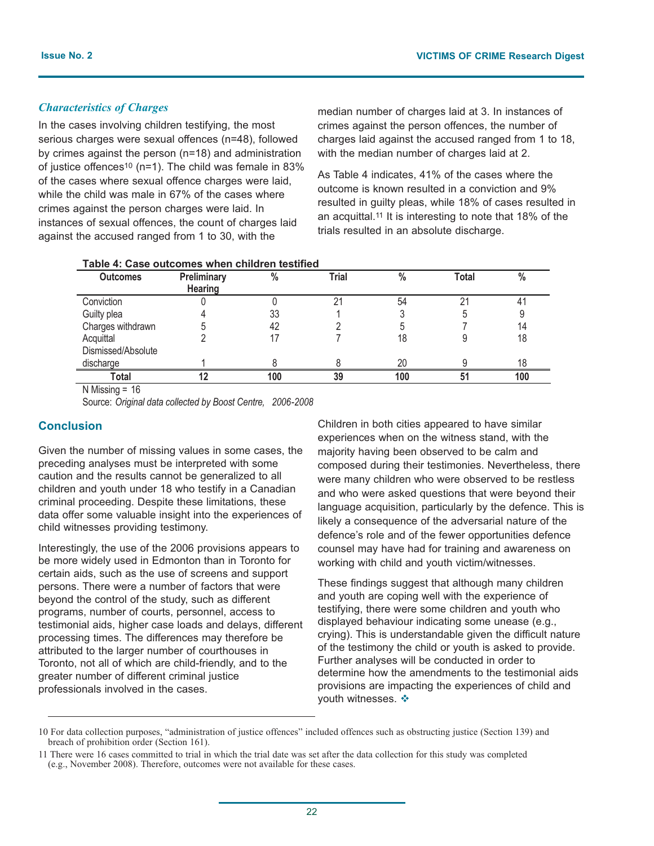#### *Characteristics of Charges*

In the cases involving children testifying, the most serious charges were sexual offences (n=48), followed by crimes against the person (n=18) and administration of justice offences<sup>10</sup> (n=1). The child was female in  $83\%$ of the cases where sexual offence charges were laid, while the child was male in 67% of the cases where crimes against the person charges were laid. In instances of sexual offences, the count of charges laid against the accused ranged from 1 to 30, with the

median number of charges laid at 3. In instances of crimes against the person offences, the number of charges laid against the accused ranged from 1 to 18, with the median number of charges laid at 2.

As Table 4 indicates, 41% of the cases where the outcome is known resulted in a conviction and 9% resulted in guilty pleas, while 18% of cases resulted in an acquittal.11 It is interesting to note that 18% of the trials resulted in an absolute discharge.

| Table 4: Case outcomes when children testified |  |
|------------------------------------------------|--|
|------------------------------------------------|--|

| <b>Outcomes</b>    | <b>Preliminary</b> | $\frac{0}{0}$ | <b>Trial</b> | $\frac{0}{0}$ | Total | $\frac{0}{0}$ |
|--------------------|--------------------|---------------|--------------|---------------|-------|---------------|
|                    | <b>Hearing</b>     |               |              |               |       |               |
| Conviction         |                    |               | $\Omega$     | 54            | 21    | 41            |
| Guilty plea        |                    | 33            |              |               |       | 9             |
| Charges withdrawn  |                    | 42            |              |               |       | 14            |
| Acquittal          |                    |               |              | 18            |       | 18            |
| Dismissed/Absolute |                    |               |              |               |       |               |
| discharge          |                    |               |              | 20            |       | 18            |
| Total              |                    | 100           | 39           | 100           | 51    | 100           |

 $N$  Missing = 16

Source: *Original data collected by Boost Centre, 2006-2008*

#### **Conclusion**

Given the number of missing values in some cases, the preceding analyses must be interpreted with some caution and the results cannot be generalized to all children and youth under 18 who testify in a Canadian criminal proceeding. Despite these limitations, these data offer some valuable insight into the experiences of child witnesses providing testimony.

Interestingly, the use of the 2006 provisions appears to be more widely used in Edmonton than in Toronto for certain aids, such as the use of screens and support persons. There were a number of factors that were beyond the control of the study, such as different programs, number of courts, personnel, access to testimonial aids, higher case loads and delays, different processing times. The differences may therefore be attributed to the larger number of courthouses in Toronto, not all of which are child-friendly, and to the greater number of different criminal justice professionals involved in the cases.

Children in both cities appeared to have similar experiences when on the witness stand, with the majority having been observed to be calm and composed during their testimonies. Nevertheless, there were many children who were observed to be restless and who were asked questions that were beyond their language acquisition, particularly by the defence. This is likely a consequence of the adversarial nature of the defence's role and of the fewer opportunities defence counsel may have had for training and awareness on working with child and youth victim/witnesses.

These findings suggest that although many children and youth are coping well with the experience of testifying, there were some children and youth who displayed behaviour indicating some unease (e.g., crying). This is understandable given the difficult nature of the testimony the child or youth is asked to provide. Further analyses will be conducted in order to determine how the amendments to the testimonial aids provisions are impacting the experiences of child and youth witnesses. ❖

<sup>10</sup> For data collection purposes, "administration of justice offences" included offences such as obstructing justice (Section 139) and breach of prohibition order (Section 161).

<sup>11</sup> There were 16 cases committed to trial in which the trial date was set after the data collection for this study was completed (e.g., November 2008). Therefore, outcomes were not available for these cases.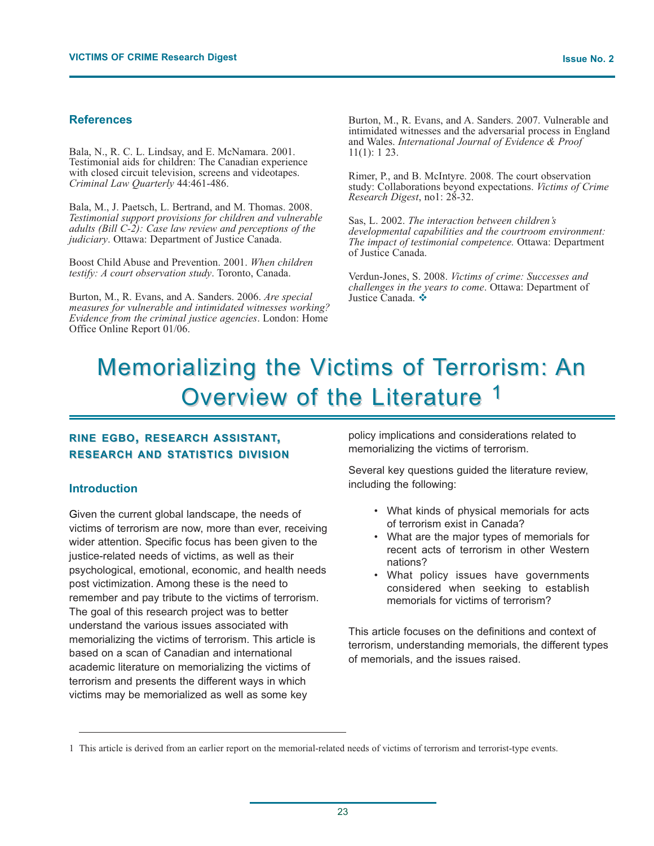#### **References**

Bala, N., R. C. L. Lindsay, and E. McNamara. 2001. Testimonial aids for children: The Canadian experience with closed circuit television, screens and videotapes. *Criminal Law Quarterly* 44:461-486.

Bala, M., J. Paetsch, L. Bertrand, and M. Thomas. 2008. *Testimonial support provisions for children and vulnerable adults (Bill C-2): Case law review and perceptions of the judiciary*. Ottawa: Department of Justice Canada.

Boost Child Abuse and Prevention. 2001. *When children testify: A court observation study*. Toronto, Canada.

Burton, M., R. Evans, and A. Sanders. 2006. *Are special measures for vulnerable and intimidated witnesses working? Evidence from the criminal justice agencies*. London: Home Office Online Report 01/06.

Burton, M., R. Evans, and A. Sanders. 2007. Vulnerable and intimidated witnesses and the adversarial process in England and Wales. *International Journal of Evidence & Proof* 11(1): 1 23.

Rimer, P., and B. McIntyre. 2008. The court observation study: Collaborations beyond expectations. *Victims of Crime Research Digest*, no1: 28-32.

Sas, L. 2002. *The interaction between children's developmental capabilities and the courtroom environment: The impact of testimonial competence.* Ottawa: Department of Justice Canada.

Verdun-Jones, S. 2008. *Victims of crime: Successes and challenges in the years to come*. Ottawa: Department of Justice Canada.

# Memorializing the Victims of Terrorism: An Overview of the Literature 1

#### **RINE EGBO, RESEARCH RESEARCHASSISTANT, RESEARCH RESEARCH AND STATISTICS TISTICS DIVISION DIVISION**

#### **Introduction**

Given the current global landscape, the needs of victims of terrorism are now, more than ever, receiving wider attention. Specific focus has been given to the justice-related needs of victims, as well as their psychological, emotional, economic, and health needs post victimization. Among these is the need to remember and pay tribute to the victims of terrorism. The goal of this research project was to better understand the various issues associated with memorializing the victims of terrorism. This article is based on a scan of Canadian and international academic literature on memorializing the victims of terrorism and presents the different ways in which victims may be memorialized as well as some key

policy implications and considerations related to memorializing the victims of terrorism.

Several key questions guided the literature review, including the following:

- What kinds of physical memorials for acts of terrorism exist in Canada?
- What are the major types of memorials for recent acts of terrorism in other Western nations?
- What policy issues have governments considered when seeking to establish memorials for victims of terrorism?

This article focuses on the definitions and context of terrorism, understanding memorials, the different types of memorials, and the issues raised.

<sup>1</sup> This article is derived from an earlier report on the memorial-related needs of victims of terrorism and terrorist-type events.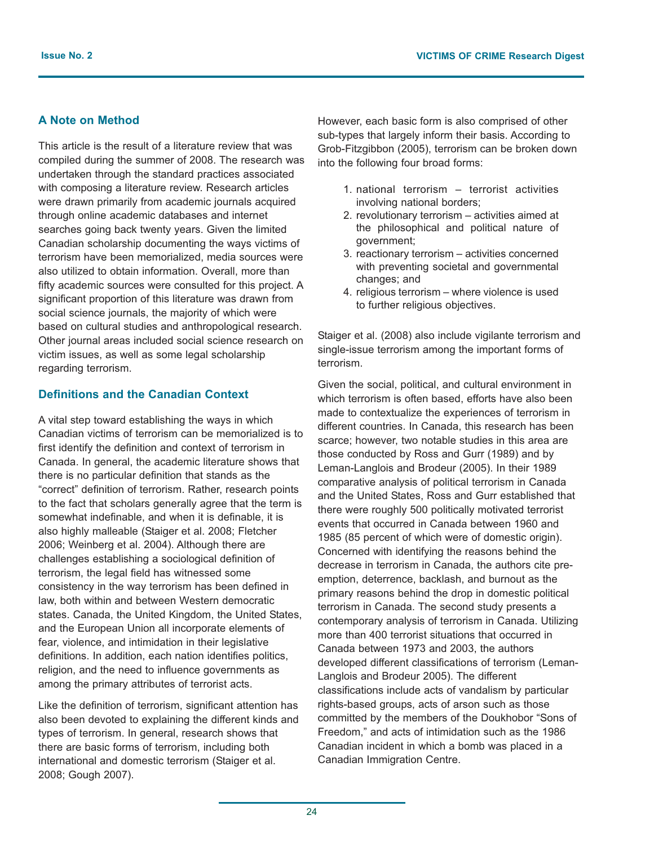#### **A Note on Method**

This article is the result of a literature review that was compiled during the summer of 2008. The research was undertaken through the standard practices associated with composing a literature review. Research articles were drawn primarily from academic journals acquired through online academic databases and internet searches going back twenty years. Given the limited Canadian scholarship documenting the ways victims of terrorism have been memorialized, media sources were also utilized to obtain information. Overall, more than fifty academic sources were consulted for this project. A significant proportion of this literature was drawn from social science journals, the majority of which were based on cultural studies and anthropological research. Other journal areas included social science research on victim issues, as well as some legal scholarship regarding terrorism.

#### **Definitions and the Canadian Context**

A vital step toward establishing the ways in which Canadian victims of terrorism can be memorialized is to first identify the definition and context of terrorism in Canada. In general, the academic literature shows that there is no particular definition that stands as the "correct" definition of terrorism. Rather, research points to the fact that scholars generally agree that the term is somewhat indefinable, and when it is definable, it is also highly malleable (Staiger et al. 2008; Fletcher 2006; Weinberg et al. 2004). Although there are challenges establishing a sociological definition of terrorism, the legal field has witnessed some consistency in the way terrorism has been defined in law, both within and between Western democratic states. Canada, the United Kingdom, the United States, and the European Union all incorporate elements of fear, violence, and intimidation in their legislative definitions. In addition, each nation identifies politics, religion, and the need to influence governments as among the primary attributes of terrorist acts.

Like the definition of terrorism, significant attention has also been devoted to explaining the different kinds and types of terrorism. In general, research shows that there are basic forms of terrorism, including both international and domestic terrorism (Staiger et al. 2008; Gough 2007).

However, each basic form is also comprised of other sub-types that largely inform their basis. According to Grob-Fitzgibbon (2005), terrorism can be broken down into the following four broad forms:

- 1. national terrorism terrorist activities involving national borders;
- 2. revolutionary terrorism activities aimed at the philosophical and political nature of government;
- 3. reactionary terrorism activities concerned with preventing societal and governmental changes; and
- 4. religious terrorism where violence is used to further religious objectives.

Staiger et al. (2008) also include vigilante terrorism and single-issue terrorism among the important forms of terrorism.

Given the social, political, and cultural environment in which terrorism is often based, efforts have also been made to contextualize the experiences of terrorism in different countries. In Canada, this research has been scarce; however, two notable studies in this area are those conducted by Ross and Gurr (1989) and by Leman-Langlois and Brodeur (2005). In their 1989 comparative analysis of political terrorism in Canada and the United States, Ross and Gurr established that there were roughly 500 politically motivated terrorist events that occurred in Canada between 1960 and 1985 (85 percent of which were of domestic origin). Concerned with identifying the reasons behind the decrease in terrorism in Canada, the authors cite preemption, deterrence, backlash, and burnout as the primary reasons behind the drop in domestic political terrorism in Canada. The second study presents a contemporary analysis of terrorism in Canada. Utilizing more than 400 terrorist situations that occurred in Canada between 1973 and 2003, the authors developed different classifications of terrorism (Leman-Langlois and Brodeur 2005). The different classifications include acts of vandalism by particular rights-based groups, acts of arson such as those committed by the members of the Doukhobor "Sons of Freedom," and acts of intimidation such as the 1986 Canadian incident in which a bomb was placed in a Canadian Immigration Centre.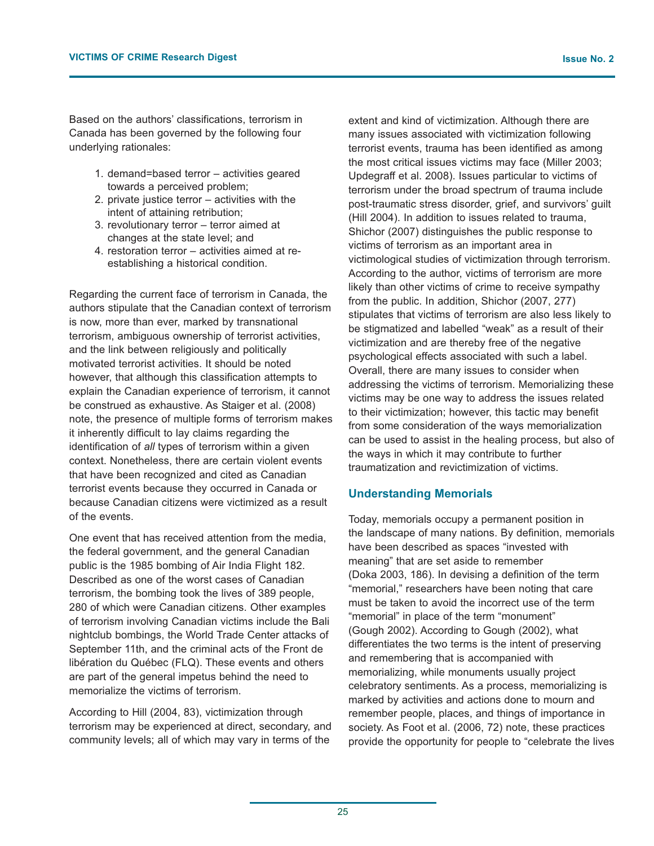Based on the authors' classifications, terrorism in Canada has been governed by the following four underlying rationales:

- 1. demand=based terror activities geared towards a perceived problem;
- 2. private justice terror activities with the intent of attaining retribution;
- 3. revolutionary terror terror aimed at changes at the state level; and
- 4. restoration terror activities aimed at reestablishing a historical condition.

Regarding the current face of terrorism in Canada, the authors stipulate that the Canadian context of terrorism is now, more than ever, marked by transnational terrorism, ambiguous ownership of terrorist activities, and the link between religiously and politically motivated terrorist activities. It should be noted however, that although this classification attempts to explain the Canadian experience of terrorism, it cannot be construed as exhaustive. As Staiger et al. (2008) note, the presence of multiple forms of terrorism makes it inherently difficult to lay claims regarding the identification of *all* types of terrorism within a given context. Nonetheless, there are certain violent events that have been recognized and cited as Canadian terrorist events because they occurred in Canada or because Canadian citizens were victimized as a result of the events.

One event that has received attention from the media, the federal government, and the general Canadian public is the 1985 bombing of Air India Flight 182. Described as one of the worst cases of Canadian terrorism, the bombing took the lives of 389 people, 280 of which were Canadian citizens. Other examples of terrorism involving Canadian victims include the Bali nightclub bombings, the World Trade Center attacks of September 11th, and the criminal acts of the Front de libération du Québec (FLQ). These events and others are part of the general impetus behind the need to memorialize the victims of terrorism.

According to Hill (2004, 83), victimization through terrorism may be experienced at direct, secondary, and community levels; all of which may vary in terms of the

extent and kind of victimization. Although there are many issues associated with victimization following terrorist events, trauma has been identified as among the most critical issues victims may face (Miller 2003; Updegraff et al. 2008). Issues particular to victims of terrorism under the broad spectrum of trauma include post-traumatic stress disorder, grief, and survivors' guilt (Hill 2004). In addition to issues related to trauma, Shichor (2007) distinguishes the public response to victims of terrorism as an important area in victimological studies of victimization through terrorism. According to the author, victims of terrorism are more likely than other victims of crime to receive sympathy from the public. In addition, Shichor (2007, 277) stipulates that victims of terrorism are also less likely to be stigmatized and labelled "weak" as a result of their victimization and are thereby free of the negative psychological effects associated with such a label. Overall, there are many issues to consider when addressing the victims of terrorism. Memorializing these victims may be one way to address the issues related to their victimization; however, this tactic may benefit from some consideration of the ways memorialization can be used to assist in the healing process, but also of the ways in which it may contribute to further traumatization and revictimization of victims.

#### **Understanding Memorials**

Today, memorials occupy a permanent position in the landscape of many nations. By definition, memorials have been described as spaces "invested with meaning" that are set aside to remember (Doka 2003, 186). In devising a definition of the term "memorial," researchers have been noting that care must be taken to avoid the incorrect use of the term "memorial" in place of the term "monument" (Gough 2002). According to Gough (2002), what differentiates the two terms is the intent of preserving and remembering that is accompanied with memorializing, while monuments usually project celebratory sentiments. As a process, memorializing is marked by activities and actions done to mourn and remember people, places, and things of importance in society. As Foot et al. (2006, 72) note, these practices provide the opportunity for people to "celebrate the lives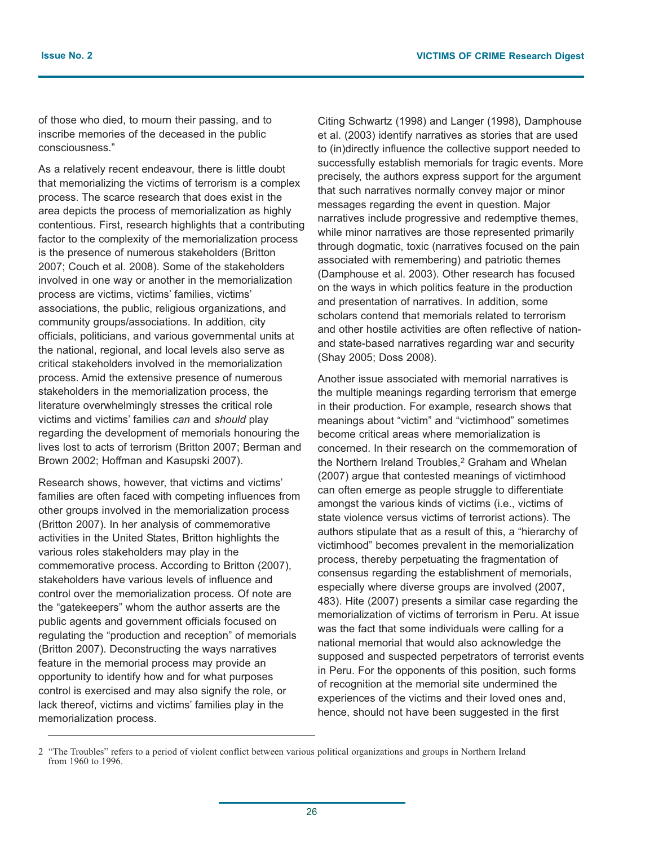of those who died, to mourn their passing, and to inscribe memories of the deceased in the public consciousness."

As a relatively recent endeavour, there is little doubt that memorializing the victims of terrorism is a complex process. The scarce research that does exist in the area depicts the process of memorialization as highly contentious. First, research highlights that a contributing factor to the complexity of the memorialization process is the presence of numerous stakeholders (Britton 2007; Couch et al. 2008). Some of the stakeholders involved in one way or another in the memorialization process are victims, victims' families, victims' associations, the public, religious organizations, and community groups/associations. In addition, city officials, politicians, and various governmental units at the national, regional, and local levels also serve as critical stakeholders involved in the memorialization process. Amid the extensive presence of numerous stakeholders in the memorialization process, the literature overwhelmingly stresses the critical role victims and victims' families *can* and *should* play regarding the development of memorials honouring the lives lost to acts of terrorism (Britton 2007; Berman and Brown 2002; Hoffman and Kasupski 2007).

Research shows, however, that victims and victims' families are often faced with competing influences from other groups involved in the memorialization process (Britton 2007). In her analysis of commemorative activities in the United States, Britton highlights the various roles stakeholders may play in the commemorative process. According to Britton (2007), stakeholders have various levels of influence and control over the memorialization process. Of note are the "gatekeepers" whom the author asserts are the public agents and government officials focused on regulating the "production and reception" of memorials (Britton 2007). Deconstructing the ways narratives feature in the memorial process may provide an opportunity to identify how and for what purposes control is exercised and may also signify the role, or lack thereof, victims and victims' families play in the memorialization process.

Citing Schwartz (1998) and Langer (1998), Damphouse et al. (2003) identify narratives as stories that are used to (in)directly influence the collective support needed to successfully establish memorials for tragic events. More precisely, the authors express support for the argument that such narratives normally convey major or minor messages regarding the event in question. Major narratives include progressive and redemptive themes, while minor narratives are those represented primarily through dogmatic, toxic (narratives focused on the pain associated with remembering) and patriotic themes (Damphouse et al. 2003). Other research has focused on the ways in which politics feature in the production and presentation of narratives. In addition, some scholars contend that memorials related to terrorism and other hostile activities are often reflective of nationand state-based narratives regarding war and security (Shay 2005; Doss 2008).

Another issue associated with memorial narratives is the multiple meanings regarding terrorism that emerge in their production. For example, research shows that meanings about "victim" and "victimhood" sometimes become critical areas where memorialization is concerned. In their research on the commemoration of the Northern Ireland Troubles,<sup>2</sup> Graham and Whelan (2007) argue that contested meanings of victimhood can often emerge as people struggle to differentiate amongst the various kinds of victims (i.e., victims of state violence versus victims of terrorist actions). The authors stipulate that as a result of this, a "hierarchy of victimhood" becomes prevalent in the memorialization process, thereby perpetuating the fragmentation of consensus regarding the establishment of memorials, especially where diverse groups are involved (2007, 483). Hite (2007) presents a similar case regarding the memorialization of victims of terrorism in Peru. At issue was the fact that some individuals were calling for a national memorial that would also acknowledge the supposed and suspected perpetrators of terrorist events in Peru. For the opponents of this position, such forms of recognition at the memorial site undermined the experiences of the victims and their loved ones and, hence, should not have been suggested in the first

<sup>2 &</sup>quot;The Troubles" refers to a period of violent conflict between various political organizations and groups in Northern Ireland from 1960 to 1996.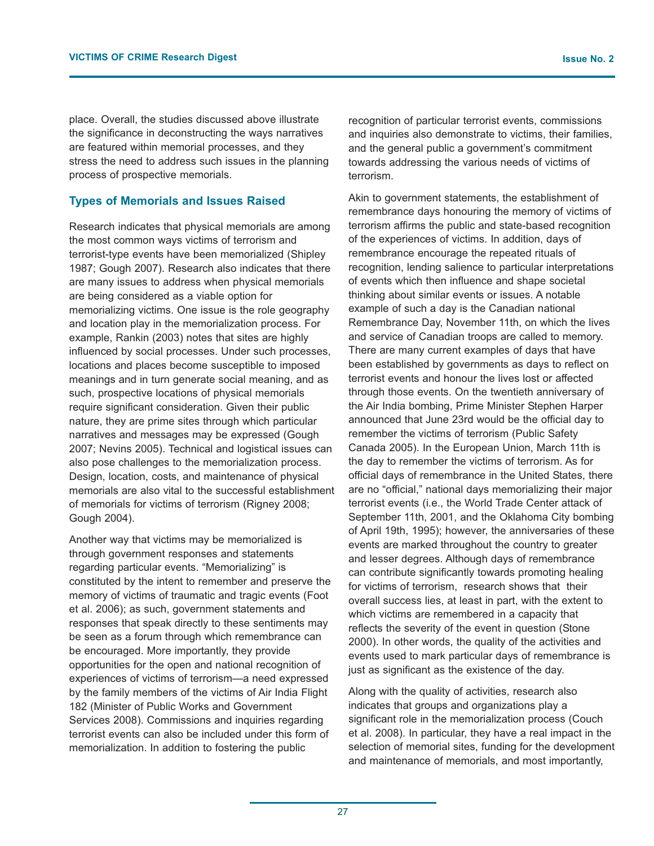place. Overall, the studies discussed above illustrate the significance in deconstructing the ways narratives are featured within memorial processes, and they stress the need to address such issues in the planning process of prospective memorials.

#### **Types of Memorials and Issues Raised**

Research indicates that physical memorials are among the most common ways victims of terrorism and terrorist-type events have been memorialized (Shipley 1987; Gough 2007). Research also indicates that there are many issues to address when physical memorials are being considered as a viable option for memorializing victims. One issue is the role geography and location play in the memorialization process. For example, Rankin (2003) notes that sites are highly influenced by social processes. Under such processes, locations and places become susceptible to imposed meanings and in turn generate social meaning, and as such, prospective locations of physical memorials require significant consideration. Given their public nature, they are prime sites through which particular narratives and messages may be expressed (Gough 2007; Nevins 2005). Technical and logistical issues can also pose challenges to the memorialization process. Design, location, costs, and maintenance of physical memorials are also vital to the successful establishment of memorials for victims of terrorism (Rigney 2008; Gough 2004).

Another way that victims may be memorialized is through government responses and statements regarding particular events. "Memorializing" is constituted by the intent to remember and preserve the memory of victims of traumatic and tragic events (Foot et al. 2006); as such, government statements and responses that speak directly to these sentiments may be seen as a forum through which remembrance can be encouraged. More importantly, they provide opportunities for the open and national recognition of experiences of victims of terrorism—a need expressed by the family members of the victims of Air India Flight 182 (Minister of Public Works and Government Services 2008). Commissions and inquiries regarding terrorist events can also be included under this form of memorialization. In addition to fostering the public

recognition of particular terrorist events, commissions and inquiries also demonstrate to victims, their families, and the general public a government's commitment towards addressing the various needs of victims of terrorism.

Akin to government statements, the establishment of remembrance days honouring the memory of victims of terrorism affirms the public and state-based recognition of the experiences of victims. In addition, days of remembrance encourage the repeated rituals of recognition, lending salience to particular interpretations of events which then influence and shape societal thinking about similar events or issues. A notable example of such a day is the Canadian national Remembrance Day, November 11th, on which the lives and service of Canadian troops are called to memory. There are many current examples of days that have been established by governments as days to reflect on terrorist events and honour the lives lost or affected through those events. On the twentieth anniversary of the Air India bombing, Prime Minister Stephen Harper announced that June 23rd would be the official day to remember the victims of terrorism (Public Safety Canada 2005). In the European Union, March 11th is the day to remember the victims of terrorism. As for official days of remembrance in the United States, there are no "official," national days memorializing their major terrorist events (i.e., the World Trade Center attack of September 11th, 2001, and the Oklahoma City bombing of April 19th, 1995); however, the anniversaries of these events are marked throughout the country to greater and lesser degrees. Although days of remembrance can contribute significantly towards promoting healing for victims of terrorism, research shows that their overall success lies, at least in part, with the extent to which victims are remembered in a capacity that reflects the severity of the event in question (Stone 2000). In other words, the quality of the activities and events used to mark particular days of remembrance is just as significant as the existence of the day.

Along with the quality of activities, research also indicates that groups and organizations play a significant role in the memorialization process (Couch et al. 2008). In particular, they have a real impact in the selection of memorial sites, funding for the development and maintenance of memorials, and most importantly,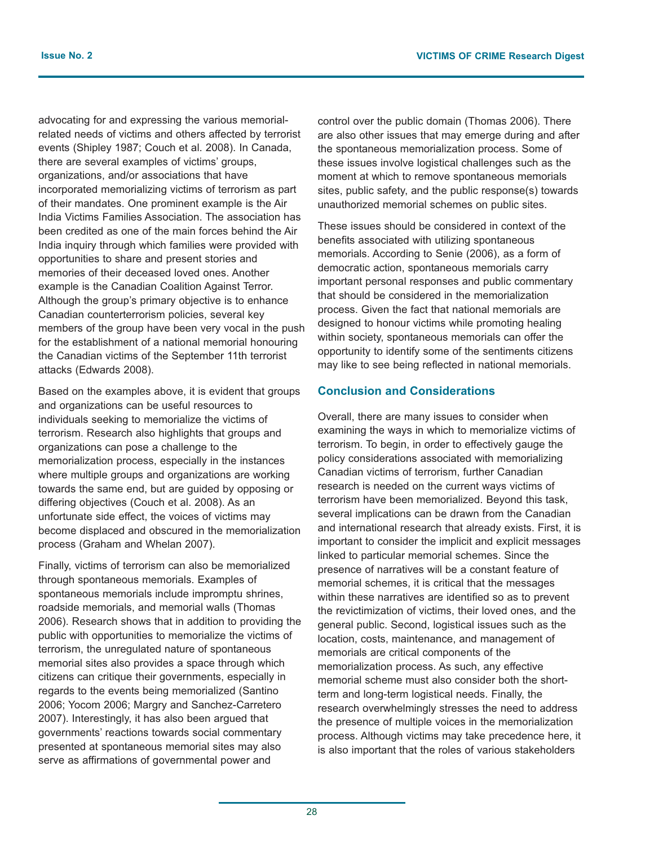advocating for and expressing the various memorialrelated needs of victims and others affected by terrorist events (Shipley 1987; Couch et al. 2008). In Canada, there are several examples of victims' groups, organizations, and/or associations that have incorporated memorializing victims of terrorism as part of their mandates. One prominent example is the Air India Victims Families Association. The association has been credited as one of the main forces behind the Air India inquiry through which families were provided with opportunities to share and present stories and memories of their deceased loved ones. Another example is the Canadian Coalition Against Terror. Although the group's primary objective is to enhance Canadian counterterrorism policies, several key members of the group have been very vocal in the push for the establishment of a national memorial honouring the Canadian victims of the September 11th terrorist attacks (Edwards 2008).

Based on the examples above, it is evident that groups and organizations can be useful resources to individuals seeking to memorialize the victims of terrorism. Research also highlights that groups and organizations can pose a challenge to the memorialization process, especially in the instances where multiple groups and organizations are working towards the same end, but are guided by opposing or differing objectives (Couch et al. 2008). As an unfortunate side effect, the voices of victims may become displaced and obscured in the memorialization process (Graham and Whelan 2007).

Finally, victims of terrorism can also be memorialized through spontaneous memorials. Examples of spontaneous memorials include impromptu shrines, roadside memorials, and memorial walls (Thomas 2006). Research shows that in addition to providing the public with opportunities to memorialize the victims of terrorism, the unregulated nature of spontaneous memorial sites also provides a space through which citizens can critique their governments, especially in regards to the events being memorialized (Santino 2006; Yocom 2006; Margry and Sanchez-Carretero 2007). Interestingly, it has also been argued that governments' reactions towards social commentary presented at spontaneous memorial sites may also serve as affirmations of governmental power and

control over the public domain (Thomas 2006). There are also other issues that may emerge during and after the spontaneous memorialization process. Some of these issues involve logistical challenges such as the moment at which to remove spontaneous memorials sites, public safety, and the public response(s) towards unauthorized memorial schemes on public sites.

These issues should be considered in context of the benefits associated with utilizing spontaneous memorials. According to Senie (2006), as a form of democratic action, spontaneous memorials carry important personal responses and public commentary that should be considered in the memorialization process. Given the fact that national memorials are designed to honour victims while promoting healing within society, spontaneous memorials can offer the opportunity to identify some of the sentiments citizens may like to see being reflected in national memorials.

#### **Conclusion and Considerations**

Overall, there are many issues to consider when examining the ways in which to memorialize victims of terrorism. To begin, in order to effectively gauge the policy considerations associated with memorializing Canadian victims of terrorism, further Canadian research is needed on the current ways victims of terrorism have been memorialized. Beyond this task, several implications can be drawn from the Canadian and international research that already exists. First, it is important to consider the implicit and explicit messages linked to particular memorial schemes. Since the presence of narratives will be a constant feature of memorial schemes, it is critical that the messages within these narratives are identified so as to prevent the revictimization of victims, their loved ones, and the general public. Second, logistical issues such as the location, costs, maintenance, and management of memorials are critical components of the memorialization process. As such, any effective memorial scheme must also consider both the shortterm and long-term logistical needs. Finally, the research overwhelmingly stresses the need to address the presence of multiple voices in the memorialization process. Although victims may take precedence here, it is also important that the roles of various stakeholders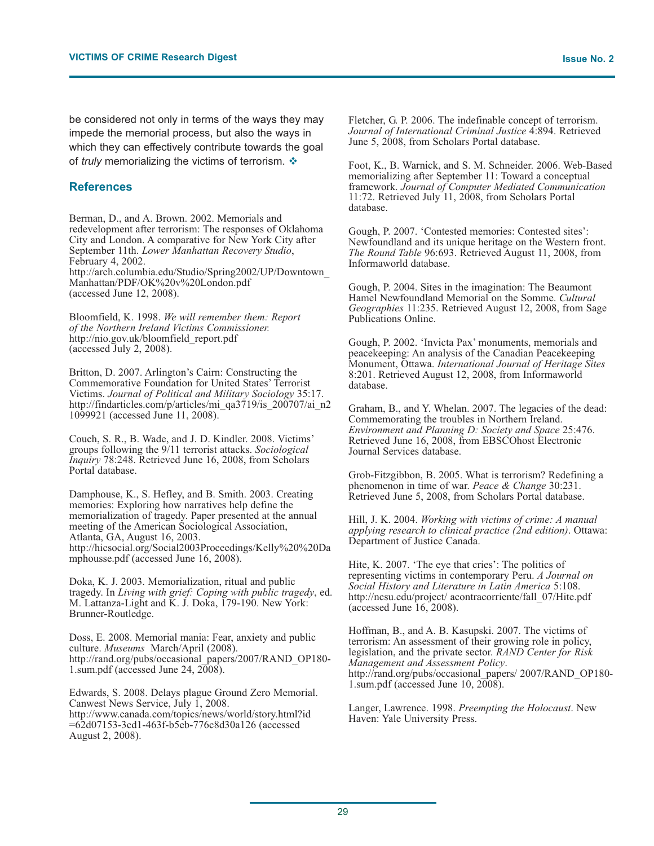be considered not only in terms of the ways they may impede the memorial process, but also the ways in which they can effectively contribute towards the goal of *truly* memorializing the victims of terrorism.  $\triangleleft$ 

#### **References**

Berman, D., and A. Brown. 2002. Memorials and redevelopment after terrorism: The responses of Oklahoma City and London. A comparative for New York City after September 11th. *Lower Manhattan Recovery Studio*, February 4, 2002. http://arch.columbia.edu/Studio/Spring2002/UP/Downtown\_

Manhattan/PDF/OK%20v%20London.pdf (accessed June 12, 2008).

Bloomfield, K. 1998. *We will remember them: Report of the Northern Ireland Victims Commissioner.* http://nio.gov.uk/bloomfield\_report.pdf (accessed July 2, 2008).

Britton, D. 2007. Arlington's Cairn: Constructing the Commemorative Foundation for United States' Terrorist Victims. *Journal of Political and Military Sociology* 35:17. http://findarticles.com/p/articles/mi\_qa3719/is\_200707/ai\_n2 1099921 (accessed June 11, 2008).

Couch, S. R., B. Wade, and J. D. Kindler. 2008. Victims' groups following the 9/11 terrorist attacks. *Sociological Inquiry* 78:248. Retrieved June 16, 2008, from Scholars Portal database.

Damphouse, K., S. Hefley, and B. Smith. 2003. Creating memories: Exploring how narratives help define the memorialization of tragedy. Paper presented at the annual meeting of the American Sociological Association, Atlanta, GA, August 16, 2003. http://hicsocial.org/Social2003Proceedings/Kelly%20%20Da mphousse.pdf (accessed June 16, 2008).

Doka, K. J. 2003. Memorialization, ritual and public tragedy. In *Living with grief: Coping with public tragedy*, ed. M. Lattanza-Light and K. J. Doka, 179-190. New York: Brunner-Routledge.

Doss, E. 2008. Memorial mania: Fear, anxiety and public culture. *Museums* March/April (2008). http://rand.org/pubs/occasional\_papers/2007/RAND\_OP180- 1.sum.pdf (accessed June 24, 2008).

Edwards, S. 2008. Delays plague Ground Zero Memorial. Canwest News Service, July 1, 2008. http://www.canada.com/topics/news/world/story.html?id =62d07153-3cd1-463f-b5eb-776c8d30a126 (accessed August 2, 2008).

Fletcher, G. P. 2006. The indefinable concept of terrorism. *Journal of International Criminal Justice* 4:894. Retrieved June 5, 2008, from Scholars Portal database.

Foot, K., B. Warnick, and S. M. Schneider. 2006. Web-Based memorializing after September 11: Toward a conceptual framework. *Journal of Computer Mediated Communication* 11:72. Retrieved July 11, 2008, from Scholars Portal database.

Gough, P. 2007. 'Contested memories: Contested sites': Newfoundland and its unique heritage on the Western front. *The Round Table* 96:693. Retrieved August 11, 2008, from Informaworld database.

Gough, P. 2004. Sites in the imagination: The Beaumont Hamel Newfoundland Memorial on the Somme. *Cultural Geographies* 11:235. Retrieved August 12, 2008, from Sage Publications Online.

Gough, P. 2002. 'Invicta Pax' monuments, memorials and peacekeeping: An analysis of the Canadian Peacekeeping Monument, Ottawa. *International Journal of Heritage Sites* 8:201. Retrieved August 12, 2008, from Informaworld database.

Graham, B., and Y. Whelan. 2007. The legacies of the dead: Commemorating the troubles in Northern Ireland. *Environment and Planning D: Society and Space* 25:476. Retrieved June 16, 2008, from EBSCOhost Electronic Journal Services database.

Grob-Fitzgibbon, B. 2005. What is terrorism? Redefining a phenomenon in time of war. *Peace & Change* 30:231. Retrieved June 5, 2008, from Scholars Portal database.

Hill, J. K. 2004. *Working with victims of crime: A manual applying research to clinical practice (2nd edition)*. Ottawa: Department of Justice Canada.

Hite, K. 2007. 'The eye that cries': The politics of representing victims in contemporary Peru. *A Journal on Social History and Literature in Latin America* 5:108. http://ncsu.edu/project/ acontracorriente/fall\_07/Hite.pdf (accessed June 16, 2008).

Hoffman, B., and A. B. Kasupski. 2007. The victims of terrorism: An assessment of their growing role in policy, legislation, and the private sector. *RAND Center for Risk Management and Assessment Policy*. http://rand.org/pubs/occasional\_papers/ 2007/RAND\_OP180- 1.sum.pdf (accessed June 10, 2008).

Langer, Lawrence. 1998. *Preempting the Holocaust*. New Haven: Yale University Press.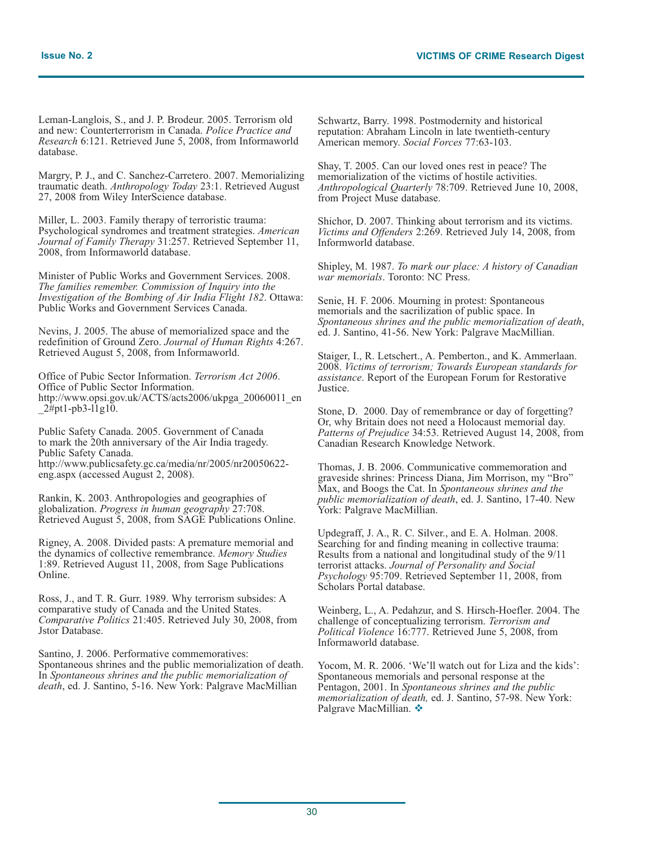Leman-Langlois, S., and J. P. Brodeur. 2005. Terrorism old and new: Counterterrorism in Canada. *Police Practice and Research* 6:121. Retrieved June 5, 2008, from Informaworld database.

Margry, P. J., and C. Sanchez-Carretero. 2007. Memorializing traumatic death. *Anthropology Today* 23:1. Retrieved August 27, 2008 from Wiley InterScience database.

Miller, L. 2003. Family therapy of terroristic trauma: Psychological syndromes and treatment strategies. *American Journal of Family Therapy* 31:257. Retrieved September 11, 2008, from Informaworld database.

Minister of Public Works and Government Services. 2008. *The families remember. Commission of Inquiry into the Investigation of the Bombing of Air India Flight 182*. Ottawa: Public Works and Government Services Canada.

Nevins, J. 2005. The abuse of memorialized space and the redefinition of Ground Zero. *Journal of Human Rights* 4:267. Retrieved August 5, 2008, from Informaworld.

Office of Pubic Sector Information. *Terrorism Act 2006*. Office of Public Sector Information. http://www.opsi.gov.uk/ACTS/acts2006/ukpga\_20060011\_en  $2#pt1-pb3-11g10.$ 

Public Safety Canada. 2005. Government of Canada to mark the 20th anniversary of the Air India tragedy. Public Safety Canada. http://www.publicsafety.gc.ca/media/nr/2005/nr20050622 eng.aspx (accessed August 2, 2008).

Rankin, K. 2003. Anthropologies and geographies of globalization. *Progress in human geography* 27:708. Retrieved August 5, 2008, from SAGE Publications Online.

Rigney, A. 2008. Divided pasts: A premature memorial and the dynamics of collective remembrance. *Memory Studies* 1:89. Retrieved August 11, 2008, from Sage Publications Online.

Ross, J., and T. R. Gurr. 1989. Why terrorism subsides: A comparative study of Canada and the United States. *Comparative Politics* 21:405. Retrieved July 30, 2008, from Jstor Database.

Santino, J. 2006. Performative commemoratives: Spontaneous shrines and the public memorialization of death. In *Spontaneous shrines and the public memorialization of death*, ed. J. Santino, 5-16. New York: Palgrave MacMillian

Schwartz, Barry. 1998. Postmodernity and historical reputation: Abraham Lincoln in late twentieth-century American memory. *Social Forces* 77:63-103.

Shay, T. 2005. Can our loved ones rest in peace? The memorialization of the victims of hostile activities. *Anthropological Quarterly* 78:709. Retrieved June 10, 2008, from Project Muse database.

Shichor, D. 2007. Thinking about terrorism and its victims. *Victims and Offenders* 2:269. Retrieved July 14, 2008, from Informworld database.

Shipley, M. 1987. *To mark our place: A history of Canadian war memorials*. Toronto: NC Press.

Senie, H. F. 2006. Mourning in protest: Spontaneous memorials and the sacrilization of public space. In *Spontaneous shrines and the public memorialization of death*, ed. J. Santino, 41-56. New York: Palgrave MacMillian.

Staiger, I., R. Letschert., A. Pemberton., and K. Ammerlaan. 2008. *Victims of terrorism; Towards European standards for assistance*. Report of the European Forum for Restorative Justice.

Stone, D. 2000. Day of remembrance or day of forgetting? Or, why Britain does not need a Holocaust memorial day. *Patterns of Prejudice* 34:53. Retrieved August 14, 2008, from Canadian Research Knowledge Network.

Thomas, J. B. 2006. Communicative commemoration and graveside shrines: Princess Diana, Jim Morrison, my "Bro" Max, and Boogs the Cat. In *Spontaneous shrines and the public memorialization of death*, ed. J. Santino, 17-40. New York: Palgrave MacMillian.

Updegraff, J. A., R. C. Silver., and E. A. Holman. 2008. Searching for and finding meaning in collective trauma: Results from a national and longitudinal study of the 9/11 terrorist attacks. *Journal of Personality and Social Psychology* 95:709. Retrieved September 11, 2008, from Scholars Portal database.

Weinberg, L., A. Pedahzur, and S. Hirsch-Hoefler. 2004. The challenge of conceptualizing terrorism. *Terrorism and Political Violence* 16:777. Retrieved June 5, 2008, from Informaworld database.

Yocom, M. R. 2006. 'We'll watch out for Liza and the kids': Spontaneous memorials and personal response at the Pentagon, 2001. In *Spontaneous shrines and the public memorialization of death,* ed. J. Santino, 57-98. New York: Palgrave MacMillian. ❖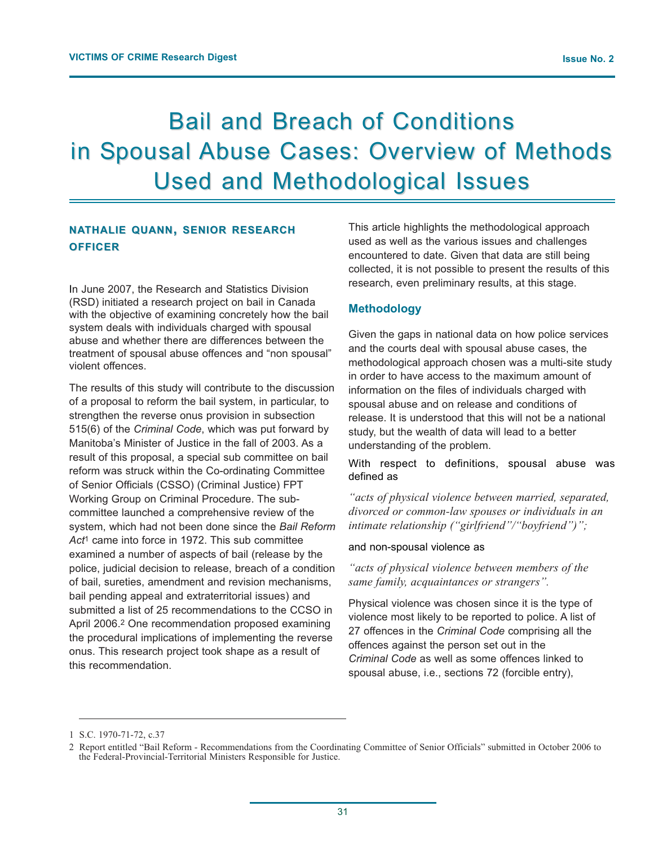# **Bail and Breach of Conditions** in Spousal Abuse Cases: Overview of Methods Used and Methodological Issues

#### **NATHALIE QUANN, SENIOR RESEARCH RESEARCH OFFICER OFFICER**

In June 2007, the Research and Statistics Division (RSD) initiated a research project on bail in Canada with the objective of examining concretely how the bail system deals with individuals charged with spousal abuse and whether there are differences between the treatment of spousal abuse offences and "non spousal" violent offences.

The results of this study will contribute to the discussion of a proposal to reform the bail system, in particular, to strengthen the reverse onus provision in subsection 515(6) of the *Criminal Code*, which was put forward by Manitoba's Minister of Justice in the fall of 2003. As a result of this proposal, a special sub committee on bail reform was struck within the Co-ordinating Committee of Senior Officials (CSSO) (Criminal Justice) FPT Working Group on Criminal Procedure. The subcommittee launched a comprehensive review of the system, which had not been done since the *Bail Reform Act*<sup>1</sup> came into force in 1972. This sub committee examined a number of aspects of bail (release by the police, judicial decision to release, breach of a condition of bail, sureties, amendment and revision mechanisms, bail pending appeal and extraterritorial issues) and submitted a list of 25 recommendations to the CCSO in April 2006.<sup>2</sup> One recommendation proposed examining the procedural implications of implementing the reverse onus. This research project took shape as a result of this recommendation.

This article highlights the methodological approach used as well as the various issues and challenges encountered to date. Given that data are still being collected, it is not possible to present the results of this research, even preliminary results, at this stage.

#### **Methodology**

Given the gaps in national data on how police services and the courts deal with spousal abuse cases, the methodological approach chosen was a multi-site study in order to have access to the maximum amount of information on the files of individuals charged with spousal abuse and on release and conditions of release. It is understood that this will not be a national study, but the wealth of data will lead to a better understanding of the problem.

With respect to definitions, spousal abuse was defined as

*"acts of physical violence between married, separated, divorced or common-law spouses or individuals in an intimate relationship ("girlfriend"/"boyfriend")";* 

#### and non-spousal violence as

*"acts of physical violence between members of the same family, acquaintances or strangers".*

Physical violence was chosen since it is the type of violence most likely to be reported to police. A list of 27 offences in the *Criminal Code* comprising all the offences against the person set out in the *Criminal Code* as well as some offences linked to spousal abuse, i.e., sections 72 (forcible entry),

<sup>1</sup> S.C. 1970-71-72, c.37

<sup>2</sup> Report entitled "Bail Reform - Recommendations from the Coordinating Committee of Senior Officials" submitted in October 2006 to the Federal-Provincial-Territorial Ministers Responsible for Justice.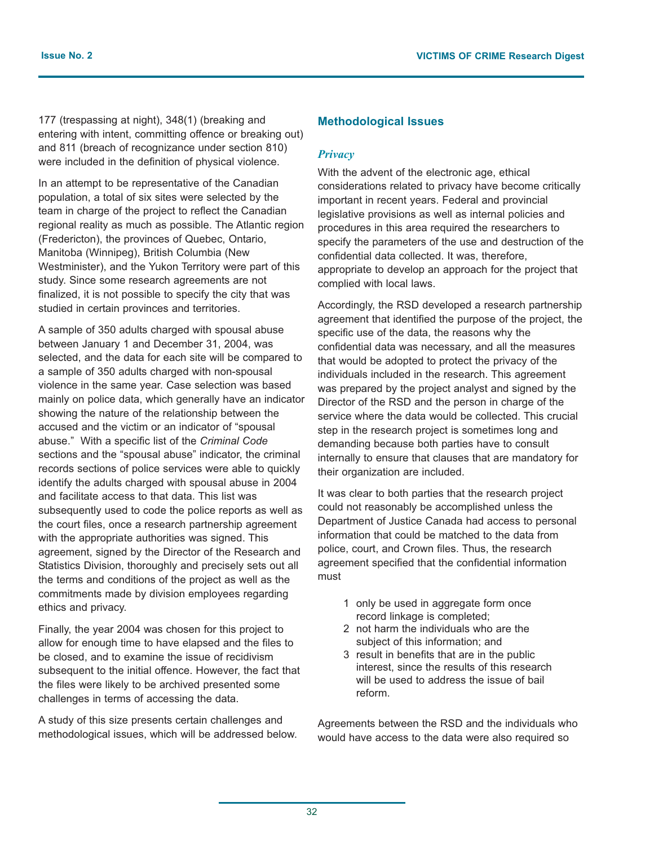177 (trespassing at night), 348(1) (breaking and entering with intent, committing offence or breaking out) and 811 (breach of recognizance under section 810) were included in the definition of physical violence.

In an attempt to be representative of the Canadian population, a total of six sites were selected by the team in charge of the project to reflect the Canadian regional reality as much as possible. The Atlantic region (Fredericton), the provinces of Quebec, Ontario, Manitoba (Winnipeg), British Columbia (New Westminister), and the Yukon Territory were part of this study. Since some research agreements are not finalized, it is not possible to specify the city that was studied in certain provinces and territories.

A sample of 350 adults charged with spousal abuse between January 1 and December 31, 2004, was selected, and the data for each site will be compared to a sample of 350 adults charged with non-spousal violence in the same year. Case selection was based mainly on police data, which generally have an indicator showing the nature of the relationship between the accused and the victim or an indicator of "spousal abuse." With a specific list of the *Criminal Code* sections and the "spousal abuse" indicator, the criminal records sections of police services were able to quickly identify the adults charged with spousal abuse in 2004 and facilitate access to that data. This list was subsequently used to code the police reports as well as the court files, once a research partnership agreement with the appropriate authorities was signed. This agreement, signed by the Director of the Research and Statistics Division, thoroughly and precisely sets out all the terms and conditions of the project as well as the commitments made by division employees regarding ethics and privacy.

Finally, the year 2004 was chosen for this project to allow for enough time to have elapsed and the files to be closed, and to examine the issue of recidivism subsequent to the initial offence. However, the fact that the files were likely to be archived presented some challenges in terms of accessing the data.

A study of this size presents certain challenges and methodological issues, which will be addressed below.

#### **Methodological Issues**

#### *Privacy*

With the advent of the electronic age, ethical considerations related to privacy have become critically important in recent years. Federal and provincial legislative provisions as well as internal policies and procedures in this area required the researchers to specify the parameters of the use and destruction of the confidential data collected. It was, therefore, appropriate to develop an approach for the project that complied with local laws.

Accordingly, the RSD developed a research partnership agreement that identified the purpose of the project, the specific use of the data, the reasons why the confidential data was necessary, and all the measures that would be adopted to protect the privacy of the individuals included in the research. This agreement was prepared by the project analyst and signed by the Director of the RSD and the person in charge of the service where the data would be collected. This crucial step in the research project is sometimes long and demanding because both parties have to consult internally to ensure that clauses that are mandatory for their organization are included.

It was clear to both parties that the research project could not reasonably be accomplished unless the Department of Justice Canada had access to personal information that could be matched to the data from police, court, and Crown files. Thus, the research agreement specified that the confidential information must

- 1 only be used in aggregate form once record linkage is completed;
- 2 not harm the individuals who are the subject of this information; and
- 3 result in benefits that are in the public interest, since the results of this research will be used to address the issue of bail reform.

Agreements between the RSD and the individuals who would have access to the data were also required so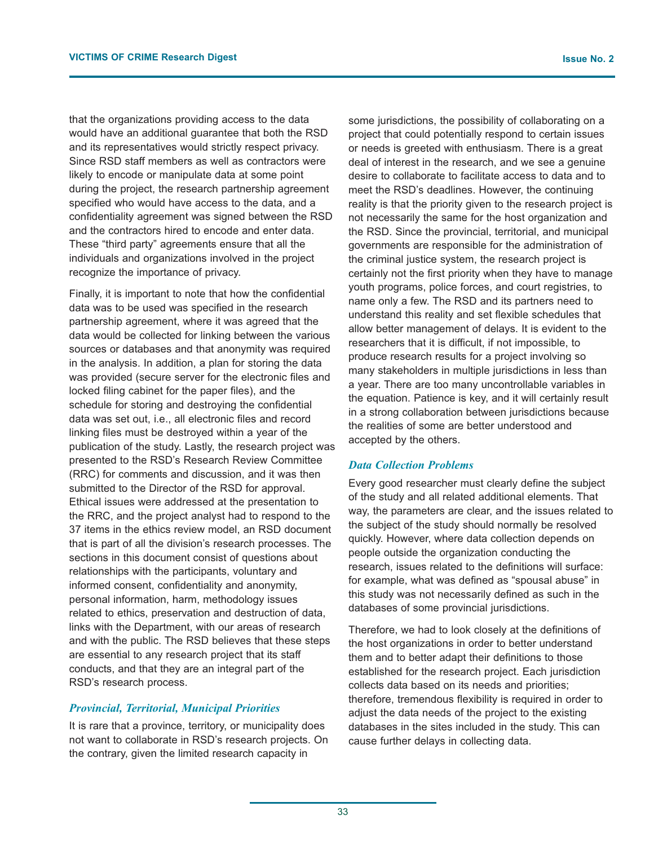that the organizations providing access to the data would have an additional guarantee that both the RSD and its representatives would strictly respect privacy. Since RSD staff members as well as contractors were likely to encode or manipulate data at some point during the project, the research partnership agreement specified who would have access to the data, and a confidentiality agreement was signed between the RSD and the contractors hired to encode and enter data. These "third party" agreements ensure that all the individuals and organizations involved in the project recognize the importance of privacy.

Finally, it is important to note that how the confidential data was to be used was specified in the research partnership agreement, where it was agreed that the data would be collected for linking between the various sources or databases and that anonymity was required in the analysis. In addition, a plan for storing the data was provided (secure server for the electronic files and locked filing cabinet for the paper files), and the schedule for storing and destroying the confidential data was set out, i.e., all electronic files and record linking files must be destroyed within a year of the publication of the study. Lastly, the research project was presented to the RSD's Research Review Committee (RRC) for comments and discussion, and it was then submitted to the Director of the RSD for approval. Ethical issues were addressed at the presentation to the RRC, and the project analyst had to respond to the 37 items in the ethics review model, an RSD document that is part of all the division's research processes. The sections in this document consist of questions about relationships with the participants, voluntary and informed consent, confidentiality and anonymity, personal information, harm, methodology issues related to ethics, preservation and destruction of data, links with the Department, with our areas of research and with the public. The RSD believes that these steps are essential to any research project that its staff conducts, and that they are an integral part of the RSD's research process.

#### *Provincial, Territorial, Municipal Priorities*

It is rare that a province, territory, or municipality does not want to collaborate in RSD's research projects. On the contrary, given the limited research capacity in

some jurisdictions, the possibility of collaborating on a project that could potentially respond to certain issues or needs is greeted with enthusiasm. There is a great deal of interest in the research, and we see a genuine desire to collaborate to facilitate access to data and to meet the RSD's deadlines. However, the continuing reality is that the priority given to the research project is not necessarily the same for the host organization and the RSD. Since the provincial, territorial, and municipal governments are responsible for the administration of the criminal justice system, the research project is certainly not the first priority when they have to manage youth programs, police forces, and court registries, to name only a few. The RSD and its partners need to understand this reality and set flexible schedules that allow better management of delays. It is evident to the researchers that it is difficult, if not impossible, to produce research results for a project involving so many stakeholders in multiple jurisdictions in less than a year. There are too many uncontrollable variables in the equation. Patience is key, and it will certainly result in a strong collaboration between jurisdictions because the realities of some are better understood and accepted by the others.

#### *Data Collection Problems*

Every good researcher must clearly define the subject of the study and all related additional elements. That way, the parameters are clear, and the issues related to the subject of the study should normally be resolved quickly. However, where data collection depends on people outside the organization conducting the research, issues related to the definitions will surface: for example, what was defined as "spousal abuse" in this study was not necessarily defined as such in the databases of some provincial jurisdictions.

Therefore, we had to look closely at the definitions of the host organizations in order to better understand them and to better adapt their definitions to those established for the research project. Each jurisdiction collects data based on its needs and priorities; therefore, tremendous flexibility is required in order to adjust the data needs of the project to the existing databases in the sites included in the study. This can cause further delays in collecting data.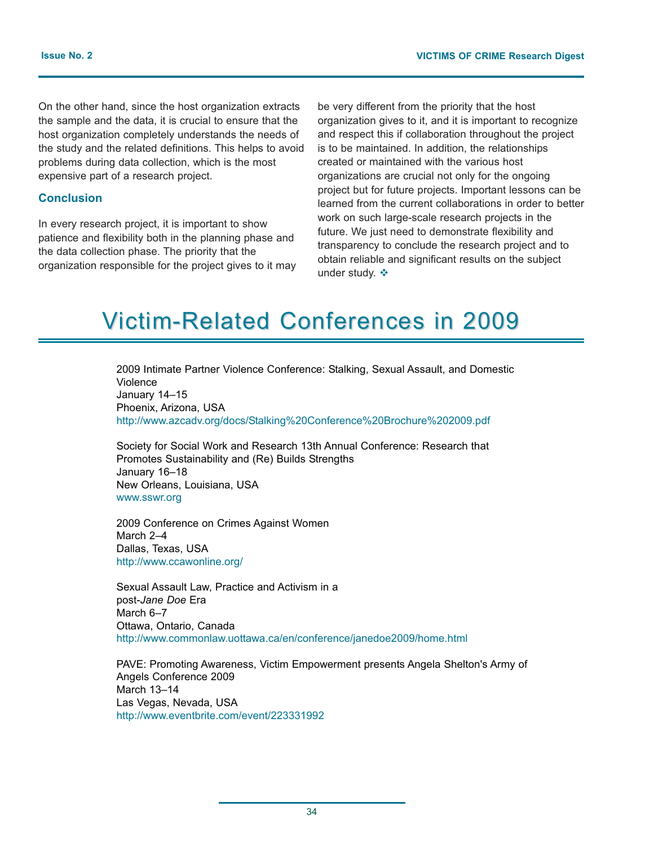On the other hand, since the host organization extracts the sample and the data, it is crucial to ensure that the host organization completely understands the needs of the study and the related definitions. This helps to avoid problems during data collection, which is the most expensive part of a research project.

#### **Conclusion**

In every research project, it is important to show patience and flexibility both in the planning phase and the data collection phase. The priority that the organization responsible for the project gives to it may be very different from the priority that the host organization gives to it, and it is important to recognize and respect this if collaboration throughout the project is to be maintained. In addition, the relationships created or maintained with the various host organizations are crucial not only for the ongoing project but for future projects. Important lessons can be learned from the current collaborations in order to better work on such large-scale research projects in the future. We just need to demonstrate flexibility and transparency to conclude the research project and to obtain reliable and significant results on the subject under study. ❖

### Victim-Related Conferences in 2009

2009 Intimate Partner Violence Conference: Stalking, Sexual Assault, and Domestic Violence January 14–15 Phoenix, Arizona, USA http://www.azcadv.org/docs/Stalking%20Conference%20Brochure%202009.pdf

Society for Social Work and Research 13th Annual Conference: Research that Promotes Sustainability and (Re) Builds Strengths January 16–18 New Orleans, Louisiana, USA www.sswr.org

2009 Conference on Crimes Against Women March 2–4 Dallas, Texas, USA http://www.ccawonline.org/

Sexual Assault Law, Practice and Activism in a post-*Jane Doe* Era March 6–7 Ottawa, Ontario, Canada http://www.commonlaw.uottawa.ca/en/conference/janedoe2009/home.html

PAVE: Promoting Awareness, Victim Empowerment presents Angela Shelton's Army of Angels Conference 2009 March 13–14 Las Vegas, Nevada, USA http://www.eventbrite.com/event/223331992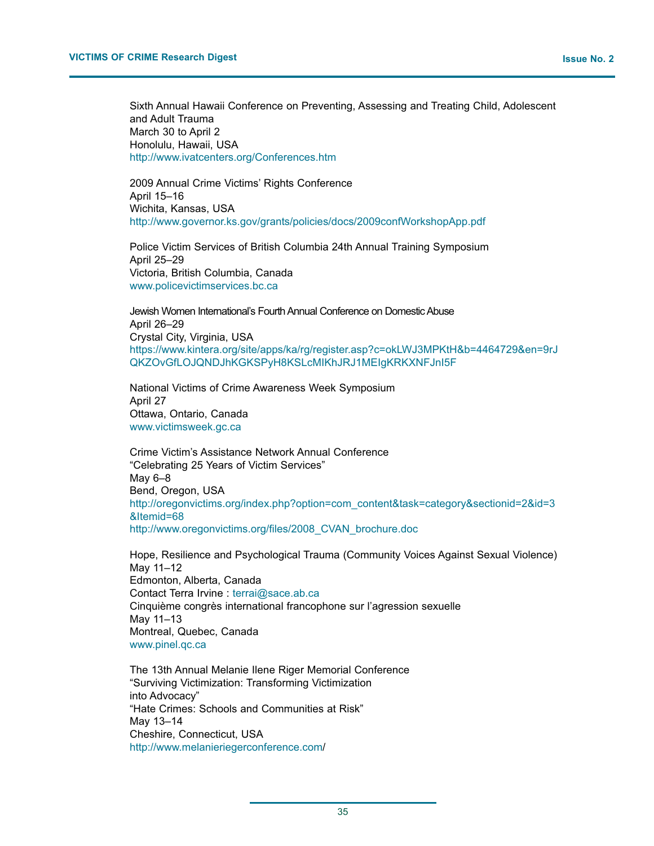Sixth Annual Hawaii Conference on Preventing, Assessing and Treating Child, Adolescent and Adult Trauma March 30 to April 2 Honolulu, Hawaii, USA http://www.ivatcenters.org/Conferences.htm

2009 Annual Crime Victims' Rights Conference April 15–16 Wichita, Kansas, USA http://www.governor.ks.gov/grants/policies/docs/2009confWorkshopApp.pdf

Police Victim Services of British Columbia 24th Annual Training Symposium April 25–29 Victoria, British Columbia, Canada www.policevictimservices.bc.ca

Jewish Women International's Fourth Annual Conference on Domestic Abuse April 26–29 Crystal City, Virginia, USA https://www.kintera.org/site/apps/ka/rg/register.asp?c=okLWJ3MPKtH&b=4464729&en=9rJ QKZOvGfLOJQNDJhKGKSPyH8KSLcMIKhJRJ1MEIgKRKXNFJnI5F

National Victims of Crime Awareness Week Symposium April 27 Ottawa, Ontario, Canada www.victimsweek.gc.ca

Crime Victim's Assistance Network Annual Conference "Celebrating 25 Years of Victim Services" May 6–8 Bend, Oregon, USA http://oregonvictims.org/index.php?option=com\_content&task=category&sectionid=2&id=3 &Itemid=68 http://www.oregonvictims.org/files/2008\_CVAN\_brochure.doc

Hope, Resilience and Psychological Trauma (Community Voices Against Sexual Violence) May 11–12 Edmonton, Alberta, Canada Contact Terra Irvine : terrai@sace.ab.ca Cinquième congrès international francophone sur l'agression sexuelle May 11–13 Montreal, Quebec, Canada www.pinel.qc.ca

The 13th Annual Melanie Ilene Riger Memorial Conference "Surviving Victimization: Transforming Victimization into Advocacy" "Hate Crimes: Schools and Communities at Risk" May 13–14 Cheshire, Connecticut, USA http://www.melanieriegerconference.com/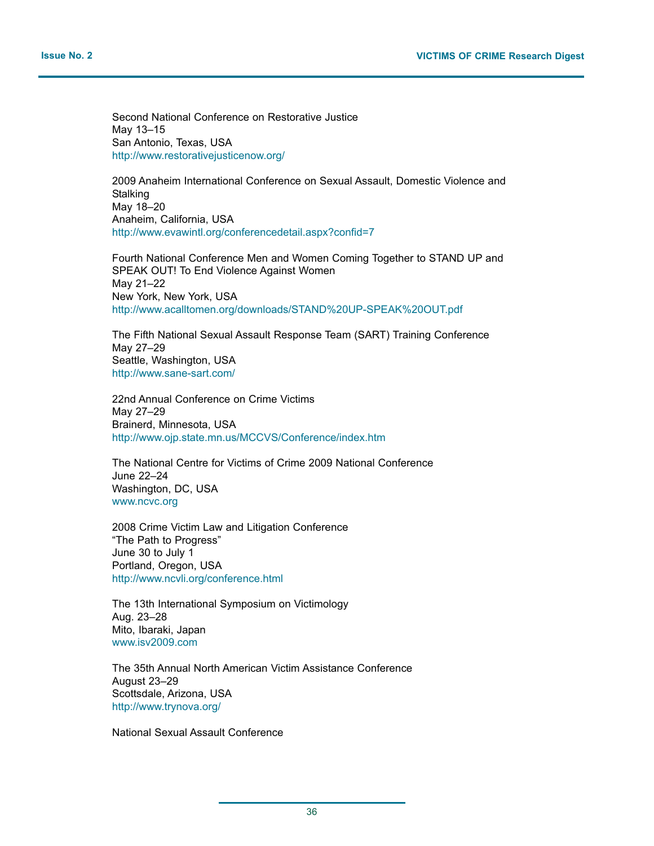Second National Conference on Restorative Justice May 13–15 San Antonio, Texas, USA http://www.restorativejusticenow.org/

2009 Anaheim International Conference on Sexual Assault, Domestic Violence and **Stalking** May 18–20 Anaheim, California, USA http://www.evawintl.org/conferencedetail.aspx?confid=7

Fourth National Conference Men and Women Coming Together to STAND UP and SPEAK OUT! To End Violence Against Women May 21–22 New York, New York, USA http://www.acalltomen.org/downloads/STAND%20UP-SPEAK%20OUT.pdf

The Fifth National Sexual Assault Response Team (SART) Training Conference May 27–29 Seattle, Washington, USA http://www.sane-sart.com/

22nd Annual Conference on Crime Victims May 27–29 Brainerd, Minnesota, USA http://www.ojp.state.mn.us/MCCVS/Conference/index.htm

The National Centre for Victims of Crime 2009 National Conference June 22–24 Washington, DC, USA www.ncvc.org

2008 Crime Victim Law and Litigation Conference "The Path to Progress" June 30 to July 1 Portland, Oregon, USA http://www.ncvli.org/conference.html

The 13th International Symposium on Victimology Aug. 23–28 Mito, Ibaraki, Japan www.isv2009.com

The 35th Annual North American Victim Assistance Conference August 23–29 Scottsdale, Arizona, USA http://www.trynova.org/

National Sexual Assault Conference